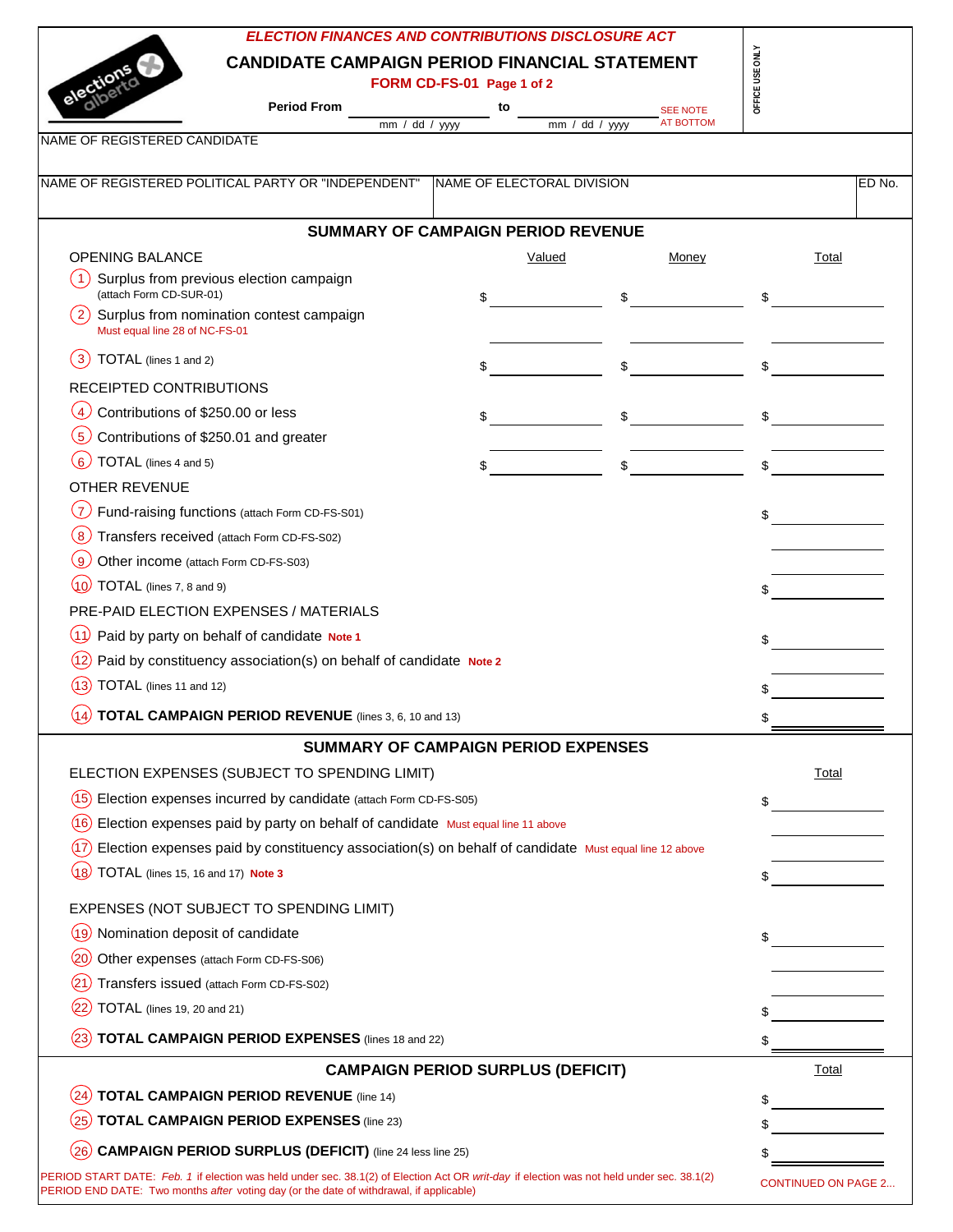| <b>ELECTION FINANCES AND CONTRIBUTIONS DISCLOSURE ACT</b>                                                                                                                                                                            |                                            |                                                      |                            |
|--------------------------------------------------------------------------------------------------------------------------------------------------------------------------------------------------------------------------------------|--------------------------------------------|------------------------------------------------------|----------------------------|
| <b>CANDIDATE CAMPAIGN PERIOD FINANCIAL STATEMENT</b>                                                                                                                                                                                 |                                            |                                                      | OFFICE USE ONLY            |
| electio                                                                                                                                                                                                                              | FORM CD-FS-01 Page 1 of 2                  |                                                      |                            |
| <b>Period From</b>                                                                                                                                                                                                                   | to<br>mm / dd / yyy                        | <b>SEE NOTE</b><br><b>AT BOTTOM</b><br>mm / dd / yyy |                            |
| NAME OF REGISTERED CANDIDATE                                                                                                                                                                                                         |                                            |                                                      |                            |
| NAME OF REGISTERED POLITICAL PARTY OR "INDEPENDENT"                                                                                                                                                                                  | NAME OF ELECTORAL DIVISION                 |                                                      | ED No.                     |
|                                                                                                                                                                                                                                      |                                            |                                                      |                            |
|                                                                                                                                                                                                                                      | <b>SUMMARY OF CAMPAIGN PERIOD REVENUE</b>  |                                                      |                            |
| <b>OPENING BALANCE</b>                                                                                                                                                                                                               | Valued                                     | Money                                                | Total                      |
| 1)<br>Surplus from previous election campaign<br>(attach Form CD-SUR-01)                                                                                                                                                             |                                            |                                                      |                            |
| 2)<br>Surplus from nomination contest campaign<br>Must equal line 28 of NC-FS-01                                                                                                                                                     | \$                                         | \$                                                   | \$                         |
| TOTAL (lines 1 and 2)<br>3                                                                                                                                                                                                           |                                            |                                                      |                            |
| RECEIPTED CONTRIBUTIONS                                                                                                                                                                                                              |                                            |                                                      |                            |
| $\overline{4}$<br>Contributions of \$250.00 or less                                                                                                                                                                                  | \$                                         | \$                                                   |                            |
| (5)<br>Contributions of \$250.01 and greater                                                                                                                                                                                         |                                            |                                                      |                            |
| (6)<br>TOTAL (lines 4 and 5)                                                                                                                                                                                                         |                                            | \$                                                   |                            |
| <b>OTHER REVENUE</b>                                                                                                                                                                                                                 |                                            |                                                      |                            |
| Fund-raising functions (attach Form CD-FS-S01)                                                                                                                                                                                       |                                            |                                                      | \$                         |
| Transfers received (attach Form CD-FS-S02)<br>$\overline{8}$                                                                                                                                                                         |                                            |                                                      |                            |
| (9)<br>Other income (attach Form CD-FS-S03)                                                                                                                                                                                          |                                            |                                                      |                            |
| TOTAL (lines 7, 8 and 9)<br>(10                                                                                                                                                                                                      |                                            |                                                      |                            |
| PRE-PAID ELECTION EXPENSES / MATERIALS                                                                                                                                                                                               |                                            |                                                      |                            |
| (11)<br>Paid by party on behalf of candidate Note 1                                                                                                                                                                                  |                                            |                                                      | \$                         |
| Paid by constituency association(s) on behalf of candidate Note 2<br>(12)                                                                                                                                                            |                                            |                                                      |                            |
| TOTAL (lines 11 and 12)                                                                                                                                                                                                              |                                            |                                                      |                            |
| (14)<br>TOTAL CAMPAIGN PERIOD REVENUE (lines 3, 6, 10 and 13)                                                                                                                                                                        |                                            |                                                      |                            |
|                                                                                                                                                                                                                                      | <b>SUMMARY OF CAMPAIGN PERIOD EXPENSES</b> |                                                      |                            |
| ELECTION EXPENSES (SUBJECT TO SPENDING LIMIT)                                                                                                                                                                                        |                                            |                                                      | <u>Total</u>               |
| Election expenses incurred by candidate (attach Form CD-FS-S05)<br>(15                                                                                                                                                               |                                            |                                                      | \$                         |
| Election expenses paid by party on behalf of candidate Must equal line 11 above                                                                                                                                                      |                                            |                                                      |                            |
| Election expenses paid by constituency association(s) on behalf of candidate Must equal line 12 above<br>(17                                                                                                                         |                                            |                                                      |                            |
| TOTAL (lines 15, 16 and 17) Note 3<br>(18                                                                                                                                                                                            |                                            |                                                      |                            |
| EXPENSES (NOT SUBJECT TO SPENDING LIMIT)                                                                                                                                                                                             |                                            |                                                      |                            |
| Nomination deposit of candidate<br>.19.                                                                                                                                                                                              |                                            |                                                      |                            |
| Other expenses (attach Form CD-FS-S06)                                                                                                                                                                                               |                                            |                                                      | \$                         |
| Transfers issued (attach Form CD-FS-S02)                                                                                                                                                                                             |                                            |                                                      |                            |
| TOTAL (lines 19, 20 and 21)                                                                                                                                                                                                          |                                            |                                                      |                            |
| <b>TOTAL CAMPAIGN PERIOD EXPENSES</b> (lines 18 and 22)                                                                                                                                                                              |                                            |                                                      |                            |
|                                                                                                                                                                                                                                      | <b>CAMPAIGN PERIOD SURPLUS (DEFICIT)</b>   |                                                      | Total                      |
| <b>TOTAL CAMPAIGN PERIOD REVENUE (line 14)</b><br>(24)                                                                                                                                                                               |                                            |                                                      |                            |
| <b>TOTAL CAMPAIGN PERIOD EXPENSES (line 23)</b>                                                                                                                                                                                      |                                            |                                                      |                            |
|                                                                                                                                                                                                                                      |                                            |                                                      |                            |
| <b>CAMPAIGN PERIOD SURPLUS (DEFICIT)</b> (line 24 less line 25)                                                                                                                                                                      |                                            |                                                      |                            |
| PERIOD START DATE: Feb. 1 if election was held under sec. 38.1(2) of Election Act OR writ-day if election was not held under sec. 38.1(2)<br>PERIOD END DATE: Two months after voting day (or the date of withdrawal, if applicable) |                                            |                                                      | <b>CONTINUED ON PAGE 2</b> |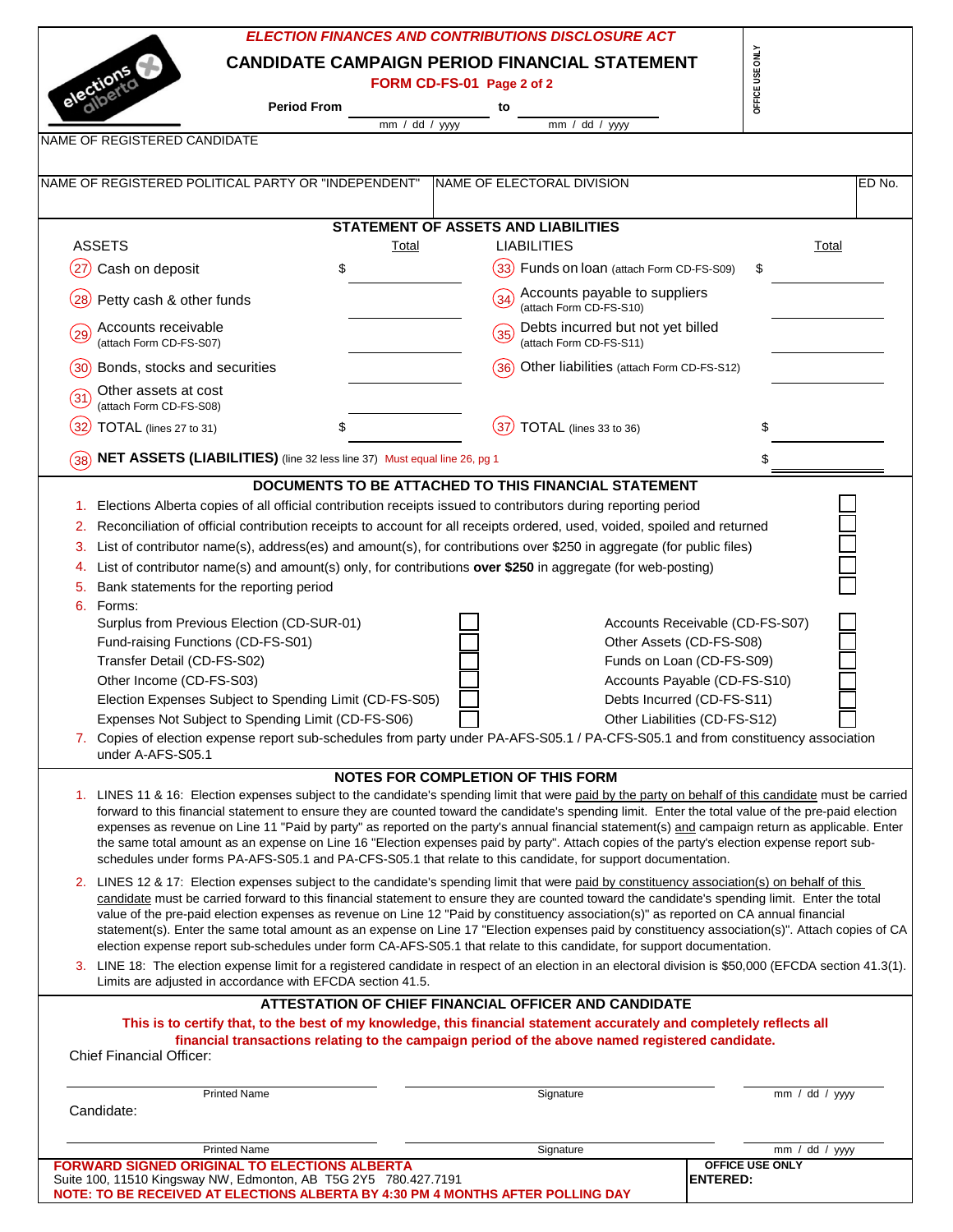|                                                                                                                                                                                                                                                                                                                                                                                                                                                                                                                                                                                                                                                                                                                                   |                |                           | <b>ELECTION FINANCES AND CONTRIBUTIONS DISCLOSURE ACT</b>                                                                                               |                 |                             |        |
|-----------------------------------------------------------------------------------------------------------------------------------------------------------------------------------------------------------------------------------------------------------------------------------------------------------------------------------------------------------------------------------------------------------------------------------------------------------------------------------------------------------------------------------------------------------------------------------------------------------------------------------------------------------------------------------------------------------------------------------|----------------|---------------------------|---------------------------------------------------------------------------------------------------------------------------------------------------------|-----------------|-----------------------------|--------|
| election<br><b>Period From</b>                                                                                                                                                                                                                                                                                                                                                                                                                                                                                                                                                                                                                                                                                                    |                | FORM CD-FS-01 Page 2 of 2 | <b>CANDIDATE CAMPAIGN PERIOD FINANCIAL STATEMENT</b>                                                                                                    | OFFICE USE ONLY |                             |        |
|                                                                                                                                                                                                                                                                                                                                                                                                                                                                                                                                                                                                                                                                                                                                   | mm / dd / yyyy | to                        | mm / dd / yyyy                                                                                                                                          |                 |                             |        |
| NAME OF REGISTERED CANDIDATE                                                                                                                                                                                                                                                                                                                                                                                                                                                                                                                                                                                                                                                                                                      |                |                           |                                                                                                                                                         |                 |                             |        |
| NAME OF REGISTERED POLITICAL PARTY OR "INDEPENDENT"                                                                                                                                                                                                                                                                                                                                                                                                                                                                                                                                                                                                                                                                               |                |                           | NAME OF ELECTORAL DIVISION                                                                                                                              |                 |                             | ED No. |
|                                                                                                                                                                                                                                                                                                                                                                                                                                                                                                                                                                                                                                                                                                                                   |                |                           | STATEMENT OF ASSETS AND LIABILITIES                                                                                                                     |                 |                             |        |
| <b>ASSETS</b>                                                                                                                                                                                                                                                                                                                                                                                                                                                                                                                                                                                                                                                                                                                     | Total          |                           | <b>LIABILITIES</b>                                                                                                                                      |                 | Total                       |        |
| Cash on deposit<br>$\overline{27}$                                                                                                                                                                                                                                                                                                                                                                                                                                                                                                                                                                                                                                                                                                | \$             |                           | (33) Funds on loan (attach Form CD-FS-S09)                                                                                                              | \$              |                             |        |
| Petty cash & other funds<br>28                                                                                                                                                                                                                                                                                                                                                                                                                                                                                                                                                                                                                                                                                                    |                | (34)                      | Accounts payable to suppliers<br>(attach Form CD-FS-S10)                                                                                                |                 |                             |        |
| Accounts receivable<br>$\left(29\right)$<br>(attach Form CD-FS-S07)                                                                                                                                                                                                                                                                                                                                                                                                                                                                                                                                                                                                                                                               |                | (35)                      | Debts incurred but not yet billed<br>(attach Form CD-FS-S11)                                                                                            |                 |                             |        |
| (30)<br>Bonds, stocks and securities                                                                                                                                                                                                                                                                                                                                                                                                                                                                                                                                                                                                                                                                                              |                | (36)                      | Other liabilities (attach Form CD-FS-S12)                                                                                                               |                 |                             |        |
| Other assets at cost<br>31)<br>(attach Form CD-FS-S08)                                                                                                                                                                                                                                                                                                                                                                                                                                                                                                                                                                                                                                                                            |                |                           |                                                                                                                                                         |                 |                             |        |
| 32<br>TOTAL (lines 27 to 31)                                                                                                                                                                                                                                                                                                                                                                                                                                                                                                                                                                                                                                                                                                      | \$             |                           | TOTAL (lines 33 to 36)                                                                                                                                  | \$              |                             |        |
| NET ASSETS (LIABILITIES) (line 32 less line 37) Must equal line 26, pg 1<br>38                                                                                                                                                                                                                                                                                                                                                                                                                                                                                                                                                                                                                                                    |                |                           |                                                                                                                                                         |                 |                             |        |
|                                                                                                                                                                                                                                                                                                                                                                                                                                                                                                                                                                                                                                                                                                                                   |                |                           | DOCUMENTS TO BE ATTACHED TO THIS FINANCIAL STATEMENT                                                                                                    |                 |                             |        |
| List of contributor name(s), address(es) and amount(s), for contributions over \$250 in aggregate (for public files)<br>3.<br>List of contributor name(s) and amount(s) only, for contributions over \$250 in aggregate (for web-posting)<br>4.<br>Bank statements for the reporting period<br>5.                                                                                                                                                                                                                                                                                                                                                                                                                                 |                |                           |                                                                                                                                                         |                 |                             |        |
| 6. Forms:<br>Surplus from Previous Election (CD-SUR-01)<br>Fund-raising Functions (CD-FS-S01)<br>Transfer Detail (CD-FS-S02)<br>Other Income (CD-FS-S03)                                                                                                                                                                                                                                                                                                                                                                                                                                                                                                                                                                          |                |                           | Accounts Receivable (CD-FS-S07)<br>Other Assets (CD-FS-S08)<br>Funds on Loan (CD-FS-S09)<br>Accounts Payable (CD-FS-S10)                                |                 |                             |        |
| Election Expenses Subject to Spending Limit (CD-FS-S05)<br>Expenses Not Subject to Spending Limit (CD-FS-S06)<br>7. Copies of election expense report sub-schedules from party under PA-AFS-S05.1 / PA-CFS-S05.1 and from constituency association<br>under A-AFS-S05.1                                                                                                                                                                                                                                                                                                                                                                                                                                                           |                |                           | Debts Incurred (CD-FS-S11)<br>Other Liabilities (CD-FS-S12)                                                                                             |                 |                             |        |
| 1. LINES 11 & 16: Election expenses subject to the candidate's spending limit that were paid by the party on behalf of this candidate must be carried<br>forward to this financial statement to ensure they are counted toward the candidate's spending limit. Enter the total value of the pre-paid election<br>expenses as revenue on Line 11 "Paid by party" as reported on the party's annual financial statement(s) and campaign return as applicable. Enter<br>the same total amount as an expense on Line 16 "Election expenses paid by party". Attach copies of the party's election expense report sub-<br>schedules under forms PA-AFS-S05.1 and PA-CFS-S05.1 that relate to this candidate, for support documentation. |                |                           | NOTES FOR COMPLETION OF THIS FORM                                                                                                                       |                 |                             |        |
| 2. LINES 12 & 17: Election expenses subject to the candidate's spending limit that were paid by constituency association(s) on behalf of this<br>candidate must be carried forward to this financial statement to ensure they are counted toward the candidate's spending limit. Enter the total<br>value of the pre-paid election expenses as revenue on Line 12 "Paid by constituency association(s)" as reported on CA annual financial<br>statement(s). Enter the same total amount as an expense on Line 17 "Election expenses paid by constituency association(s)". Attach copies of CA<br>election expense report sub-schedules under form CA-AFS-S05.1 that relate to this candidate, for support documentation.          |                |                           |                                                                                                                                                         |                 |                             |        |
| 3. LINE 18: The election expense limit for a registered candidate in respect of an election in an electoral division is \$50,000 (EFCDA section 41.3(1).<br>Limits are adjusted in accordance with EFCDA section 41.5.                                                                                                                                                                                                                                                                                                                                                                                                                                                                                                            |                |                           |                                                                                                                                                         |                 |                             |        |
| This is to certify that, to the best of my knowledge, this financial statement accurately and completely reflects all<br><b>Chief Financial Officer:</b>                                                                                                                                                                                                                                                                                                                                                                                                                                                                                                                                                                          |                |                           | ATTESTATION OF CHIEF FINANCIAL OFFICER AND CANDIDATE<br>financial transactions relating to the campaign period of the above named registered candidate. |                 |                             |        |
| <b>Printed Name</b><br>Candidate:                                                                                                                                                                                                                                                                                                                                                                                                                                                                                                                                                                                                                                                                                                 |                |                           | Signature                                                                                                                                               |                 | mm / dd / yyy               |        |
| <b>Printed Name</b>                                                                                                                                                                                                                                                                                                                                                                                                                                                                                                                                                                                                                                                                                                               |                |                           | Signature                                                                                                                                               |                 | $\overline{mm}$ / dd / yyyy |        |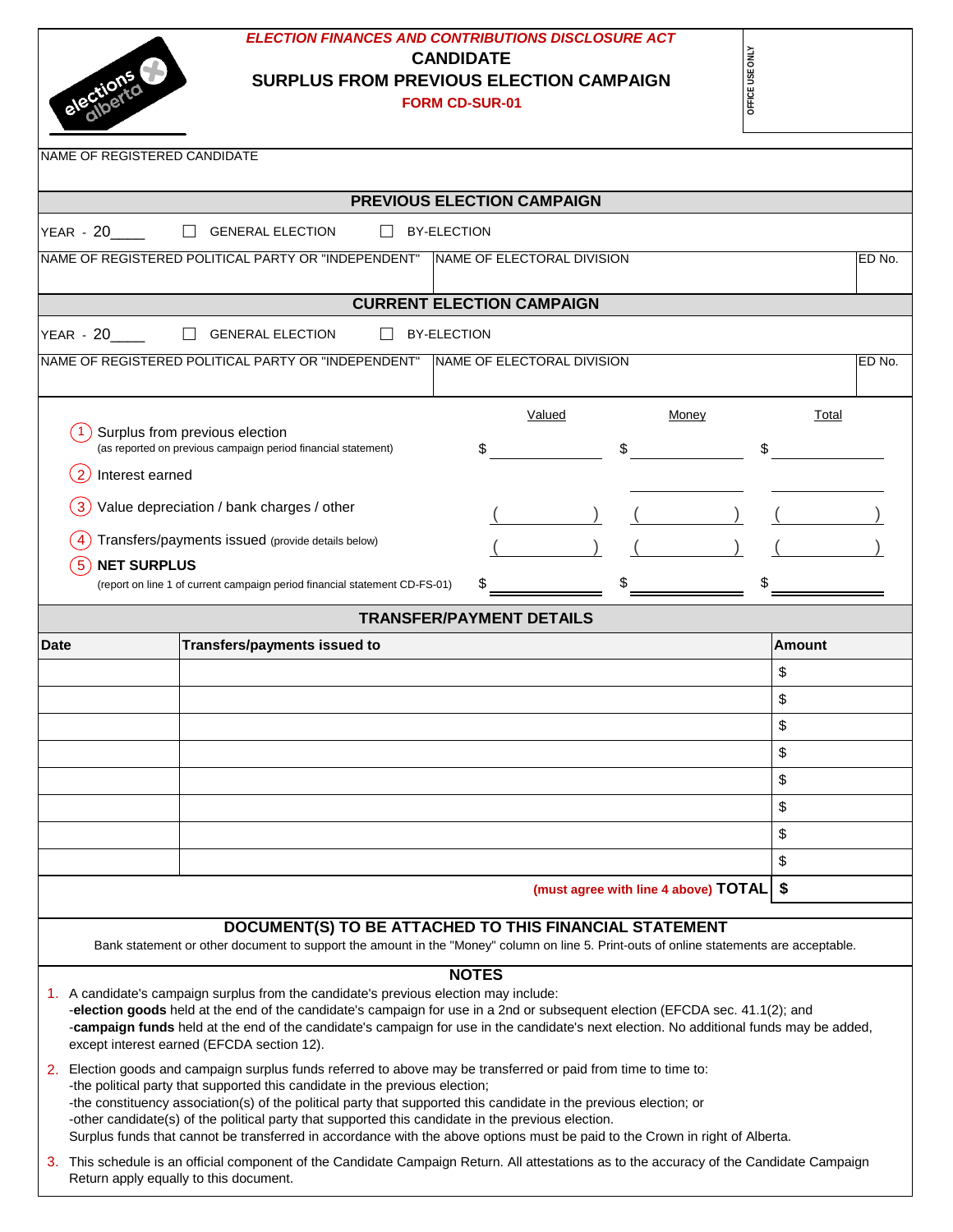

Return apply equally to this document.

# *ELECTION FINANCES AND CONTRIBUTIONS DISCLOSURE ACT* **CANDIDATE SURPLUS FROM PREVIOUS ELECTION CAMPAIGN FORM CD-SUR-01**

| ≃<br>É |
|--------|
| 51     |
| 出<br>Ğ |
|        |

Τ

| NAME OF REGISTERED CANDIDATE |                                                                                                                                                                                                                                                                                                                                                                                                                                                                                                                                                          |                                   |                                           |        |        |
|------------------------------|----------------------------------------------------------------------------------------------------------------------------------------------------------------------------------------------------------------------------------------------------------------------------------------------------------------------------------------------------------------------------------------------------------------------------------------------------------------------------------------------------------------------------------------------------------|-----------------------------------|-------------------------------------------|--------|--------|
|                              |                                                                                                                                                                                                                                                                                                                                                                                                                                                                                                                                                          |                                   |                                           |        |        |
|                              |                                                                                                                                                                                                                                                                                                                                                                                                                                                                                                                                                          | <b>PREVIOUS ELECTION CAMPAIGN</b> |                                           |        |        |
| <b>YEAR - 20</b>             | <b>GENERAL ELECTION</b>                                                                                                                                                                                                                                                                                                                                                                                                                                                                                                                                  | <b>BY-ELECTION</b>                |                                           |        |        |
|                              | NAME OF REGISTERED POLITICAL PARTY OR "INDEPENDENT"                                                                                                                                                                                                                                                                                                                                                                                                                                                                                                      | NAME OF ELECTORAL DIVISION        |                                           |        | ED No. |
|                              |                                                                                                                                                                                                                                                                                                                                                                                                                                                                                                                                                          | <b>CURRENT ELECTION CAMPAIGN</b>  |                                           |        |        |
| $YEAR - 20$                  | <b>GENERAL ELECTION</b>                                                                                                                                                                                                                                                                                                                                                                                                                                                                                                                                  | <b>BY-ELECTION</b>                |                                           |        |        |
|                              | NAME OF REGISTERED POLITICAL PARTY OR "INDEPENDENT"                                                                                                                                                                                                                                                                                                                                                                                                                                                                                                      | NAME OF ELECTORAL DIVISION        |                                           |        | ED No. |
|                              |                                                                                                                                                                                                                                                                                                                                                                                                                                                                                                                                                          |                                   |                                           |        |        |
|                              |                                                                                                                                                                                                                                                                                                                                                                                                                                                                                                                                                          | Valued                            | Money                                     | Total  |        |
|                              | Surplus from previous election<br>(as reported on previous campaign period financial statement)                                                                                                                                                                                                                                                                                                                                                                                                                                                          | \$                                | \$                                        |        |        |
| Interest earned<br>2         |                                                                                                                                                                                                                                                                                                                                                                                                                                                                                                                                                          |                                   |                                           |        |        |
| 3                            | Value depreciation / bank charges / other                                                                                                                                                                                                                                                                                                                                                                                                                                                                                                                |                                   |                                           |        |        |
|                              |                                                                                                                                                                                                                                                                                                                                                                                                                                                                                                                                                          |                                   |                                           |        |        |
| <b>NET SURPLUS</b><br>5      | Transfers/payments issued (provide details below)                                                                                                                                                                                                                                                                                                                                                                                                                                                                                                        |                                   |                                           |        |        |
|                              | (report on line 1 of current campaign period financial statement CD-FS-01)                                                                                                                                                                                                                                                                                                                                                                                                                                                                               |                                   |                                           |        |        |
|                              |                                                                                                                                                                                                                                                                                                                                                                                                                                                                                                                                                          | <b>TRANSFER/PAYMENT DETAILS</b>   |                                           |        |        |
| <b>Date</b>                  | Transfers/payments issued to                                                                                                                                                                                                                                                                                                                                                                                                                                                                                                                             |                                   |                                           | Amount |        |
|                              |                                                                                                                                                                                                                                                                                                                                                                                                                                                                                                                                                          |                                   |                                           | \$     |        |
|                              |                                                                                                                                                                                                                                                                                                                                                                                                                                                                                                                                                          |                                   |                                           | \$     |        |
|                              |                                                                                                                                                                                                                                                                                                                                                                                                                                                                                                                                                          |                                   |                                           | \$     |        |
|                              |                                                                                                                                                                                                                                                                                                                                                                                                                                                                                                                                                          |                                   |                                           | \$     |        |
|                              |                                                                                                                                                                                                                                                                                                                                                                                                                                                                                                                                                          |                                   |                                           | \$     |        |
|                              |                                                                                                                                                                                                                                                                                                                                                                                                                                                                                                                                                          |                                   |                                           | \$     |        |
|                              |                                                                                                                                                                                                                                                                                                                                                                                                                                                                                                                                                          |                                   |                                           | \$     |        |
|                              |                                                                                                                                                                                                                                                                                                                                                                                                                                                                                                                                                          |                                   |                                           | \$     |        |
|                              |                                                                                                                                                                                                                                                                                                                                                                                                                                                                                                                                                          |                                   | (must agree with line 4 above) TOTAL   \$ |        |        |
|                              | DOCUMENT(S) TO BE ATTACHED TO THIS FINANCIAL STATEMENT<br>Bank statement or other document to support the amount in the "Money" column on line 5. Print-outs of online statements are acceptable.                                                                                                                                                                                                                                                                                                                                                        |                                   |                                           |        |        |
|                              | 1. A candidate's campaign surplus from the candidate's previous election may include:<br>-election goods held at the end of the candidate's campaign for use in a 2nd or subsequent election (EFCDA sec. 41.1(2); and<br>-campaign funds held at the end of the candidate's campaign for use in the candidate's next election. No additional funds may be added,<br>except interest earned (EFCDA section 12).                                                                                                                                           | <b>NOTES</b>                      |                                           |        |        |
| 2.                           | Election goods and campaign surplus funds referred to above may be transferred or paid from time to time to:<br>-the political party that supported this candidate in the previous election;<br>-the constituency association(s) of the political party that supported this candidate in the previous election; or<br>-other candidate(s) of the political party that supported this candidate in the previous election.<br>Surplus funds that cannot be transferred in accordance with the above options must be paid to the Crown in right of Alberta. |                                   |                                           |        |        |
| З.                           | This schedule is an official component of the Candidate Campaign Return. All attestations as to the accuracy of the Candidate Campaign                                                                                                                                                                                                                                                                                                                                                                                                                   |                                   |                                           |        |        |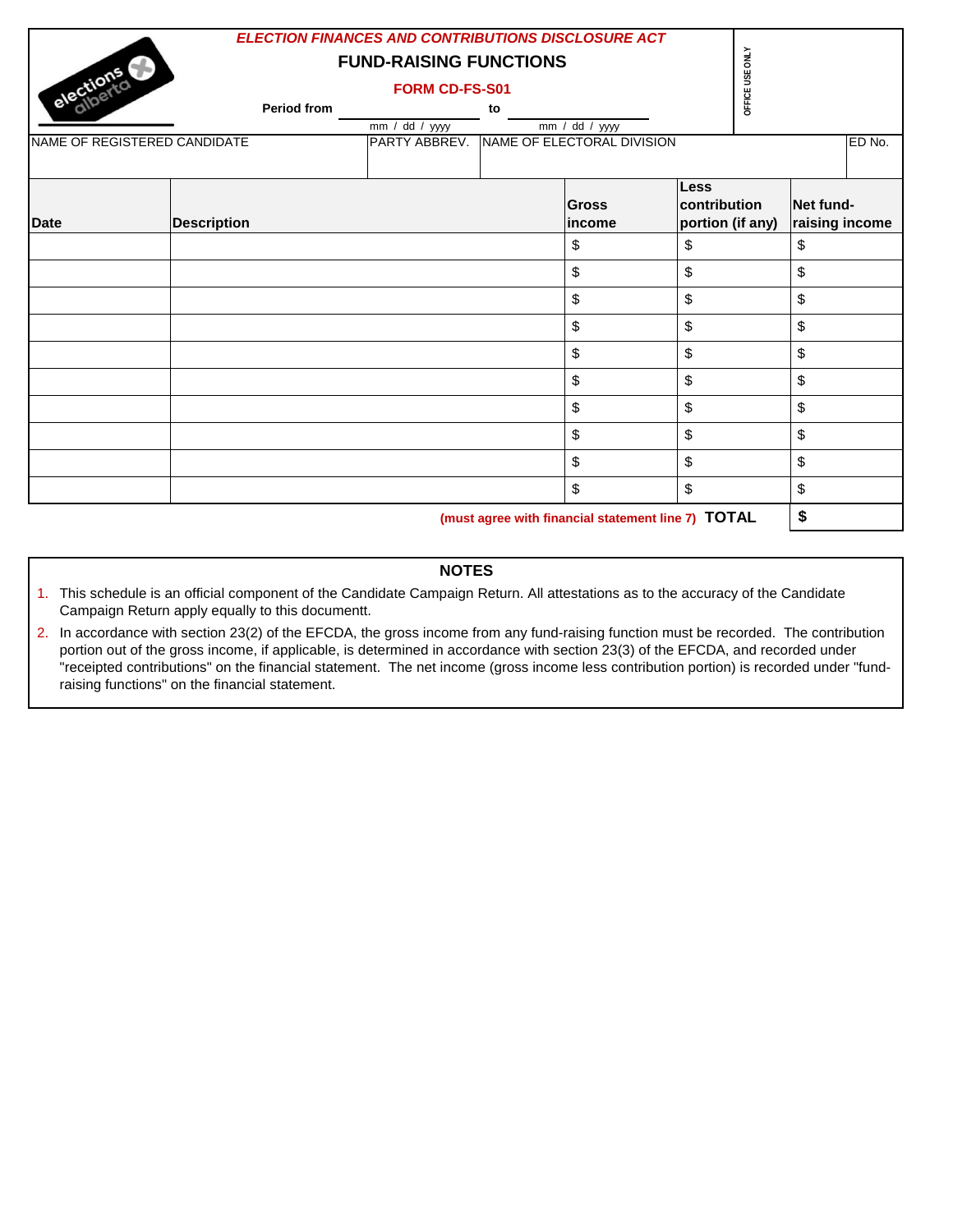| elections                    |                    | ELECTION FINANCES AND CONTRIBUTIONS DISCLOSURE ACT<br><b>FUND-RAISING FUNCTIONS</b><br><b>FORM CD-FS-S01</b> |    |                                                    |                             | OFFICE USE ONLY  |                             |        |
|------------------------------|--------------------|--------------------------------------------------------------------------------------------------------------|----|----------------------------------------------------|-----------------------------|------------------|-----------------------------|--------|
|                              | <b>Period from</b> | $\overline{mm}$ / dd / yyyy                                                                                  | to | $\frac{1}{\text{mm} / \text{dd}}$ / yyyy           |                             |                  |                             |        |
| NAME OF REGISTERED CANDIDATE |                    | PARTY ABBREV.                                                                                                |    | NAME OF ELECTORAL DIVISION                         |                             |                  |                             | ED No. |
| <b>Date</b>                  | <b>Description</b> |                                                                                                              |    | <b>Gross</b><br>income                             | <b>Less</b><br>contribution | portion (if any) | Net fund-<br>raising income |        |
|                              |                    |                                                                                                              |    | \$                                                 | \$                          |                  | \$                          |        |
|                              |                    |                                                                                                              |    | \$                                                 | \$                          |                  | \$                          |        |
|                              |                    |                                                                                                              |    | \$                                                 | \$                          |                  | \$                          |        |
|                              |                    |                                                                                                              |    | \$                                                 | \$                          |                  | \$                          |        |
|                              |                    |                                                                                                              |    | \$                                                 | \$                          |                  | \$                          |        |
|                              |                    |                                                                                                              |    | $\mathsf{\$}$                                      | \$                          |                  | \$                          |        |
|                              |                    |                                                                                                              |    | \$                                                 | \$                          |                  | \$                          |        |
|                              |                    |                                                                                                              |    | \$                                                 | \$                          |                  | \$                          |        |
|                              |                    |                                                                                                              |    | \$                                                 | \$                          |                  | \$                          |        |
|                              |                    |                                                                                                              |    | \$                                                 | \$                          |                  | \$                          |        |
|                              |                    |                                                                                                              |    | (must agree with financial statement line 7) TOTAL |                             |                  | \$                          |        |

#### **NOTES**

- 1. This schedule is an official component of the Candidate Campaign Return. All attestations as to the accuracy of the Candidate Campaign Return apply equally to this documentt.
- 2. In accordance with section 23(2) of the EFCDA, the gross income from any fund-raising function must be recorded. The contribution portion out of the gross income, if applicable, is determined in accordance with section 23(3) of the EFCDA, and recorded under .<br>"receipted contributions" on the financial statement. The net income (gross income less contribution portion) is recorded under "fundraising functions" on the financial statement.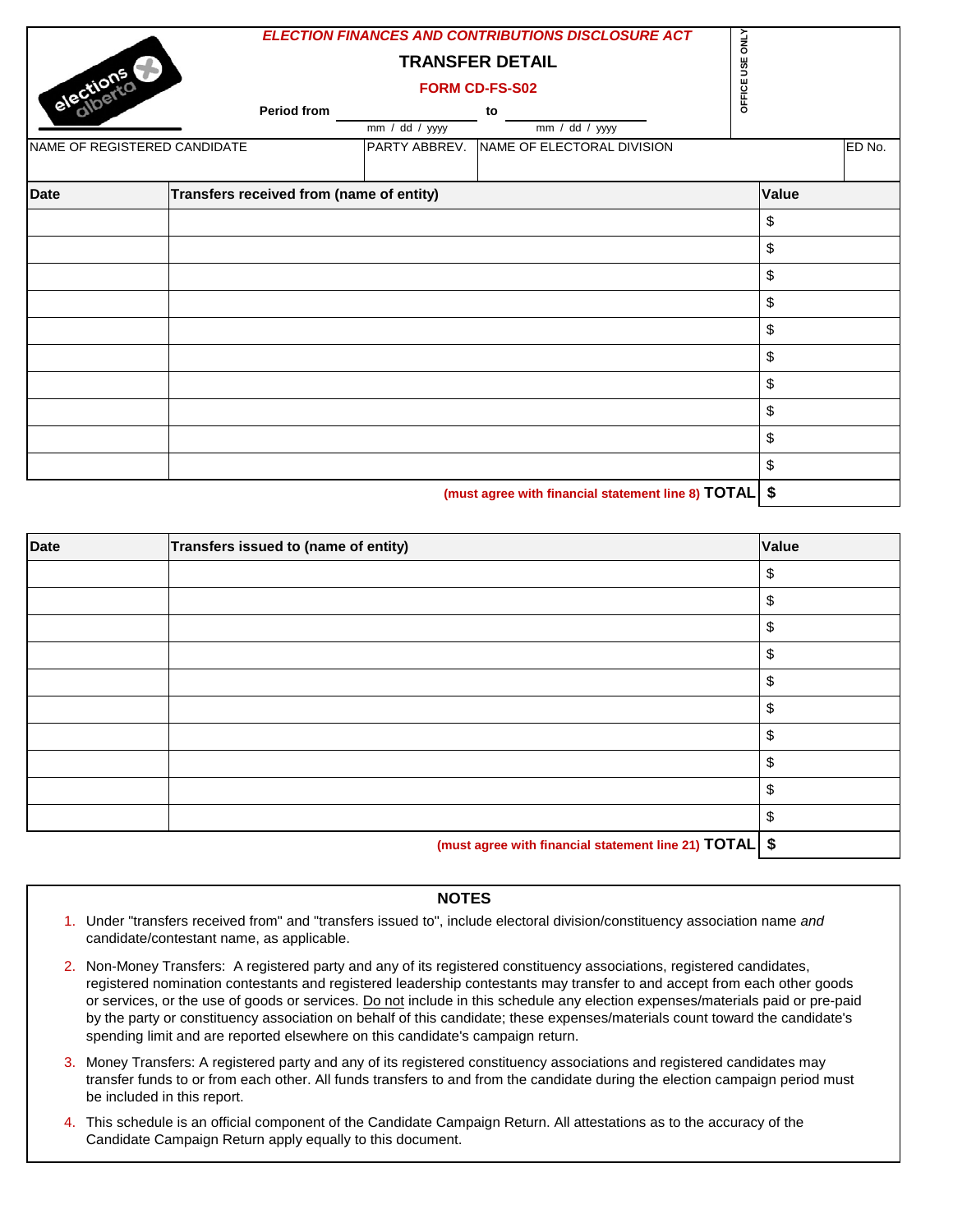| elections   | Period from<br>NAME OF REGISTERED CANDIDATE | mm / dd / yyy<br>PARTY ABBREV. | <b>ELECTION FINANCES AND CONTRIBUTIONS DISCLOSURE ACT</b><br><b>TRANSFER DETAIL</b><br>FORM CD-FS-S02<br>to<br>mm / dd / yyyy<br>NAME OF ELECTORAL DIVISION | USE ONLY<br>OFFICE |       | ED No. |
|-------------|---------------------------------------------|--------------------------------|-------------------------------------------------------------------------------------------------------------------------------------------------------------|--------------------|-------|--------|
| <b>Date</b> | Transfers received from (name of entity)    |                                |                                                                                                                                                             |                    | Value |        |
|             |                                             |                                |                                                                                                                                                             |                    | \$    |        |
|             |                                             |                                |                                                                                                                                                             |                    | \$    |        |
|             |                                             |                                |                                                                                                                                                             |                    | \$    |        |
|             |                                             |                                |                                                                                                                                                             |                    | \$    |        |
|             |                                             |                                |                                                                                                                                                             |                    | \$    |        |
|             |                                             |                                |                                                                                                                                                             |                    | \$    |        |
|             |                                             |                                |                                                                                                                                                             |                    | \$    |        |
|             |                                             |                                |                                                                                                                                                             |                    | \$    |        |
|             |                                             |                                |                                                                                                                                                             |                    | \$    |        |
|             |                                             |                                |                                                                                                                                                             |                    | \$    |        |
|             |                                             |                                |                                                                                                                                                             |                    |       |        |

 **(must agree with financial statement line 8) TOTAL \$**

| <b>Date</b> | Transfers issued to (name of entity)                     | Value         |
|-------------|----------------------------------------------------------|---------------|
|             |                                                          | \$            |
|             |                                                          | \$            |
|             |                                                          | \$            |
|             |                                                          | $\frac{1}{2}$ |
|             |                                                          | \$            |
|             |                                                          | \$            |
|             |                                                          | \$            |
|             |                                                          | \$            |
|             |                                                          | \$            |
|             |                                                          | \$            |
|             | (must agree with financial statement line 21) TOTAL   \$ |               |

### **NOTES**

- 1. Under "transfers received from" and "transfers issued to", include electoral division/constituency association name *and*  candidate/contestant name, as applicable.
- 2. Non-Money Transfers: A registered party and any of its registered constituency associations, registered candidates, registered nomination contestants and registered leadership contestants may transfer to and accept from each other goods or services, or the use of goods or services. Do not include in this schedule any election expenses/materials paid or pre-paid by the party or constituency association on behalf of this candidate; these expenses/materials count toward the candidate's spending limit and are reported elsewhere on this candidate's campaign return.
- 3. Money Transfers: A registered party and any of its registered constituency associations and registered candidates may transfer funds to or from each other. All funds transfers to and from the candidate during the election campaign period must be included in this report.
- 4. This schedule is an official component of the Candidate Campaign Return. All attestations as to the accuracy of the Candidate Campaign Return apply equally to this document.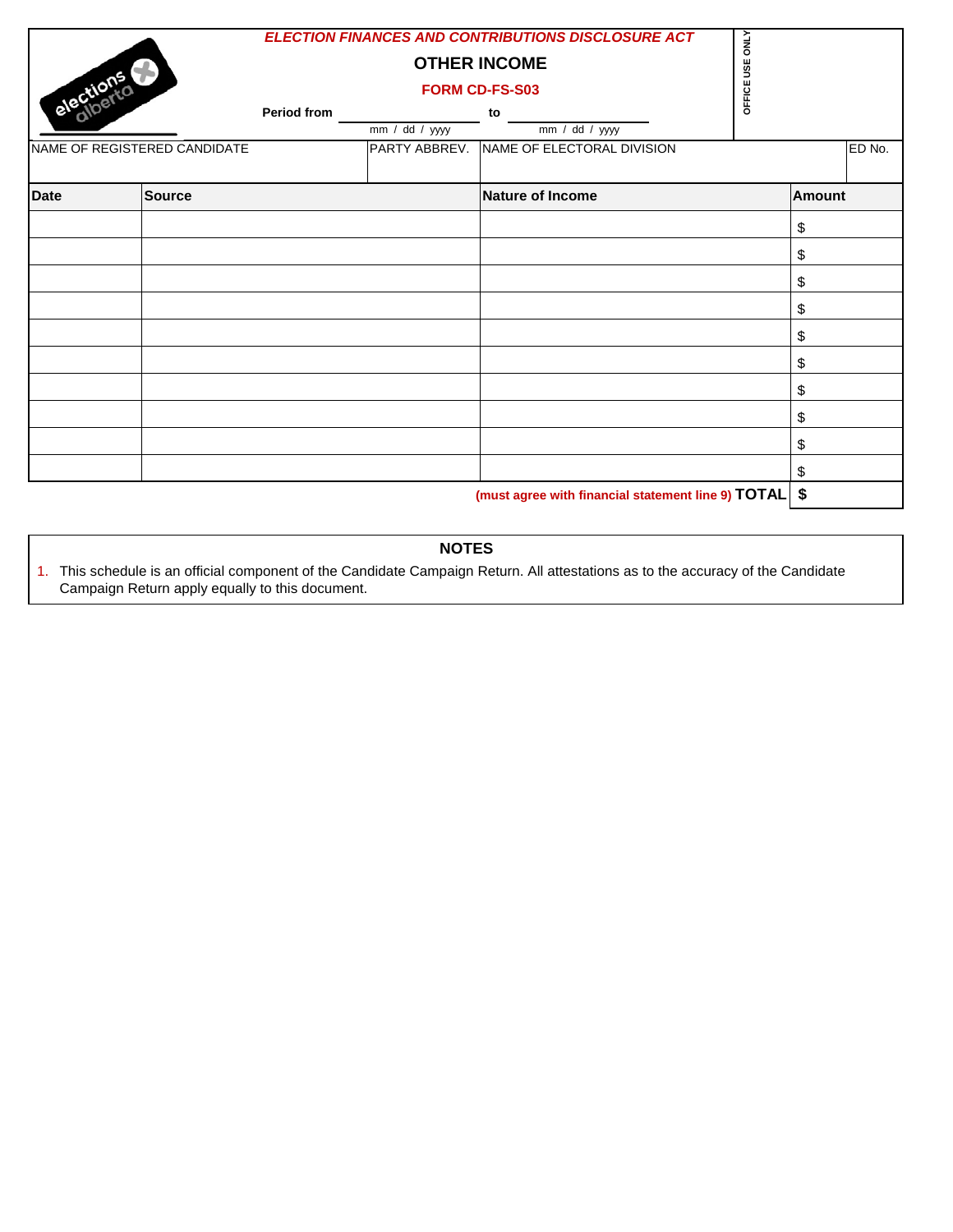| OFFICE USE<br>elections<br><b>FORM CD-FS-S03</b><br><b>Period from</b><br>to<br>mm / dd / yyyy<br>$\overline{mm}$ / dd / yyyy<br>NAME OF ELECTORAL DIVISION<br>NAME OF REGISTERED CANDIDATE<br>PARTY ABBREV. |               | ED No. |
|--------------------------------------------------------------------------------------------------------------------------------------------------------------------------------------------------------------|---------------|--------|
|                                                                                                                                                                                                              |               |        |
| <b>Date</b><br><b>Source</b><br><b>Nature of Income</b>                                                                                                                                                      | <b>Amount</b> |        |
| \$                                                                                                                                                                                                           |               |        |
| \$                                                                                                                                                                                                           |               |        |
| \$                                                                                                                                                                                                           |               |        |
| \$                                                                                                                                                                                                           |               |        |
| \$                                                                                                                                                                                                           |               |        |
| \$                                                                                                                                                                                                           |               |        |
| \$                                                                                                                                                                                                           |               |        |
| \$                                                                                                                                                                                                           |               |        |
| \$                                                                                                                                                                                                           |               |        |
| \$                                                                                                                                                                                                           |               |        |
| \$<br>(must agree with financial statement line 9) TOTAL                                                                                                                                                     |               |        |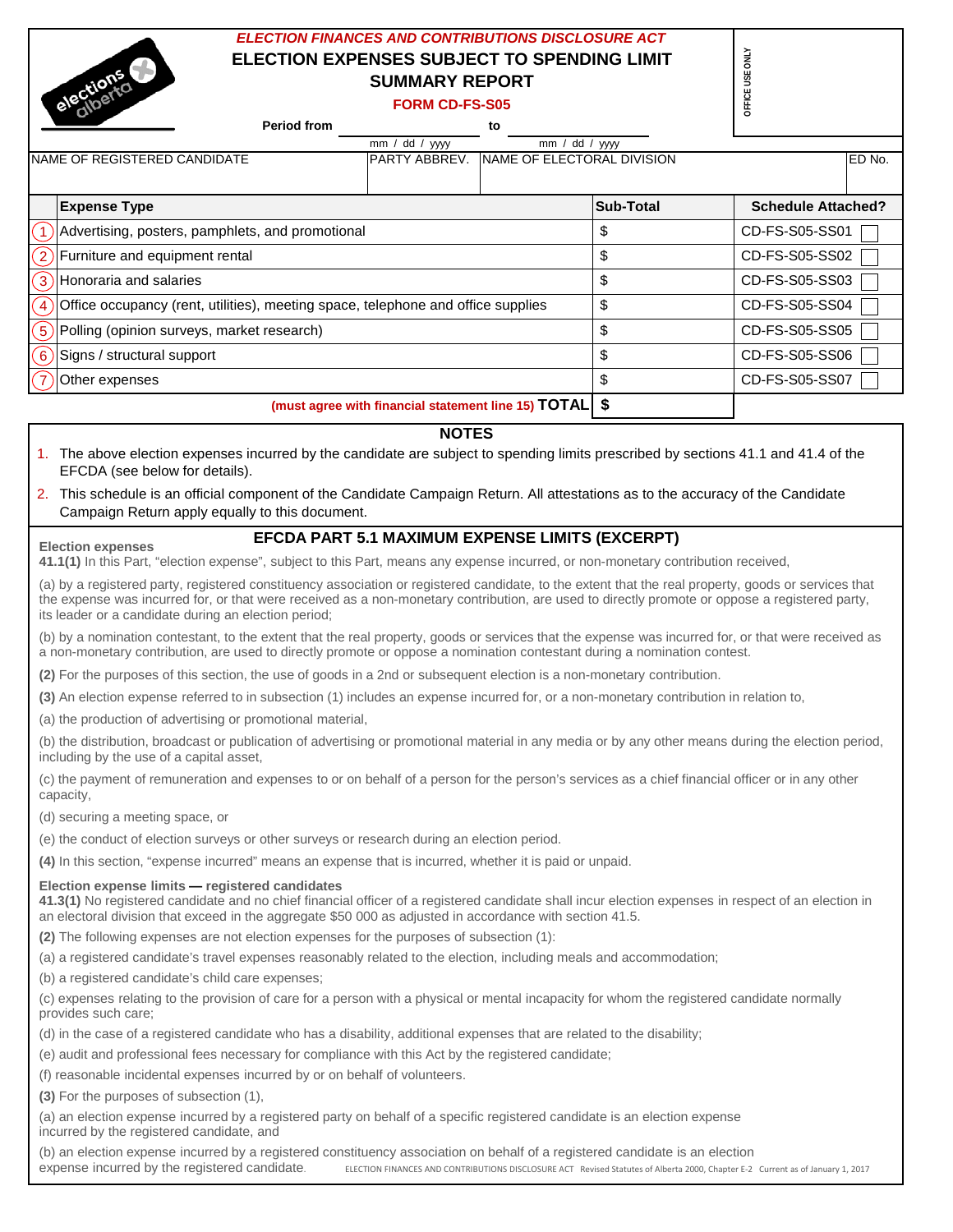# *ELECTION FINANCES AND CONTRIBUTIONS DISCLOSURE ACT* **ELECTION EXPENSES SUBJECT TO SPENDING LIMIT SUMMARY REPORT**

|                          | ELECTION EXPENSES SUBJECT TO SPENDING LIMIT<br>elections<br><b>SUMMARY REPORT</b>                                                                                                | <b>ONLY</b><br><b>DFFICE USE</b> |                                         |                           |  |  |  |  |
|--------------------------|----------------------------------------------------------------------------------------------------------------------------------------------------------------------------------|----------------------------------|-----------------------------------------|---------------------------|--|--|--|--|
|                          | <b>FORM CD-FS-S05</b>                                                                                                                                                            |                                  |                                         |                           |  |  |  |  |
|                          | <b>Period from</b>                                                                                                                                                               | to                               |                                         |                           |  |  |  |  |
|                          | mm / dd / yyyy<br>NAME OF REGISTERED CANDIDATE<br>PARTY ABBREV.                                                                                                                  | mm /                             | dd / yyyy<br>NAME OF ELECTORAL DIVISION | ED No.                    |  |  |  |  |
|                          |                                                                                                                                                                                  |                                  |                                         |                           |  |  |  |  |
|                          | <b>Expense Type</b>                                                                                                                                                              |                                  | Sub-Total                               | <b>Schedule Attached?</b> |  |  |  |  |
| $\overline{1}$           | Advertising, posters, pamphlets, and promotional                                                                                                                                 |                                  | \$                                      | CD-FS-S05-SS01            |  |  |  |  |
| $\left[ 2 \right]$       | Furniture and equipment rental                                                                                                                                                   |                                  | \$                                      | CD-FS-S05-SS02            |  |  |  |  |
| $\left[3\right]$         | Honoraria and salaries                                                                                                                                                           |                                  | \$                                      | CD-FS-S05-SS03            |  |  |  |  |
| $\left  4 \right\rangle$ | Office occupancy (rent, utilities), meeting space, telephone and office supplies                                                                                                 |                                  | \$                                      | CD-FS-S05-SS04            |  |  |  |  |
| $\left(5\right)$         | Polling (opinion surveys, market research)                                                                                                                                       |                                  | \$                                      | CD-FS-S05-SS05            |  |  |  |  |
| $\epsilon$               | Signs / structural support                                                                                                                                                       |                                  | \$                                      | CD-FS-S05-SS06            |  |  |  |  |
|                          | Other expenses                                                                                                                                                                   |                                  | \$                                      | CD-FS-S05-SS07            |  |  |  |  |
|                          | (must agree with financial statement line 15) TOTAL   \$                                                                                                                         |                                  |                                         |                           |  |  |  |  |
|                          | <b>NOTES</b>                                                                                                                                                                     |                                  |                                         |                           |  |  |  |  |
|                          | The above election expenses incurred by the candidate are subject to spending limits prescribed by sections 41.1 and 41.4 of the<br>EFCDA (see below for details).               |                                  |                                         |                           |  |  |  |  |
| 2.                       | This schedule is an official component of the Candidate Campaign Return. All attestations as to the accuracy of the Candidate<br>Campaign Return apply equally to this document. |                                  |                                         |                           |  |  |  |  |
|                          | <b>EFCDA PART 5.1 MAXIMUM EXPENSE LIMITS (EXCERPT)</b>                                                                                                                           |                                  |                                         |                           |  |  |  |  |

#### **Election expenses**

#### **EFCDA PART 5.1 MAXIMUM EXPENSE LIMITS (EXCERPT)**

**41.1(1)** In this Part, "election expense", subject to this Part, means any expense incurred, or non-monetary contribution received,

(a) by a registered party, registered constituency association or registered candidate, to the extent that the real property, goods or services that the expense was incurred for, or that were received as a non-monetary contribution, are used to directly promote or oppose a registered party, its leader or a candidate during an election period;

(b) by a nomination contestant, to the extent that the real property, goods or services that the expense was incurred for, or that were received as a non-monetary contribution, are used to directly promote or oppose a nomination contestant during a nomination contest.

**(2)** For the purposes of this section, the use of goods in a 2nd or subsequent election is a non-monetary contribution.

**(3)** An election expense referred to in subsection (1) includes an expense incurred for, or a non-monetary contribution in relation to,

(a) the production of advertising or promotional material,

(b) the distribution, broadcast or publication of advertising or promotional material in any media or by any other means during the election period, including by the use of a capital asset,

(c) the payment of remuneration and expenses to or on behalf of a person for the person's services as a chief financial officer or in any other capacity,

(d) securing a meeting space, or

(e) the conduct of election surveys or other surveys or research during an election period.

**(4)** In this section, "expense incurred" means an expense that is incurred, whether it is paid or unpaid.

#### **Election expense limits — registered candidates**

**41.3(1)** No registered candidate and no chief financial officer of a registered candidate shall incur election expenses in respect of an election in an electoral division that exceed in the aggregate \$50 000 as adjusted in accordance with section 41.5.

**(2)** The following expenses are not election expenses for the purposes of subsection (1):

(a) a registered candidate's travel expenses reasonably related to the election, including meals and accommodation;

(b) a registered candidate's child care expenses;

(c) expenses relating to the provision of care for a person with a physical or mental incapacity for whom the registered candidate normally provides such care;

(d) in the case of a registered candidate who has a disability, additional expenses that are related to the disability;

(e) audit and professional fees necessary for compliance with this Act by the registered candidate;

(f) reasonable incidental expenses incurred by or on behalf of volunteers.

**(3)** For the purposes of subsection (1),

(a) an election expense incurred by a registered party on behalf of a specific registered candidate is an election expense incurred by the registered candidate, and

(b) an election expense incurred by a registered constituency association on behalf of a registered candidate is an election expense incurred by the registered candidate.<br>
ELECTION FINANCES AND CONTRIBUTIONS DISCLOSURE ACT ELECTION FINANCES AND CONTRIBUTIONS DISCLOSURE ACT Revised Statutes of Alberta 2000, Chapter E-2 Current as of January 1, 2017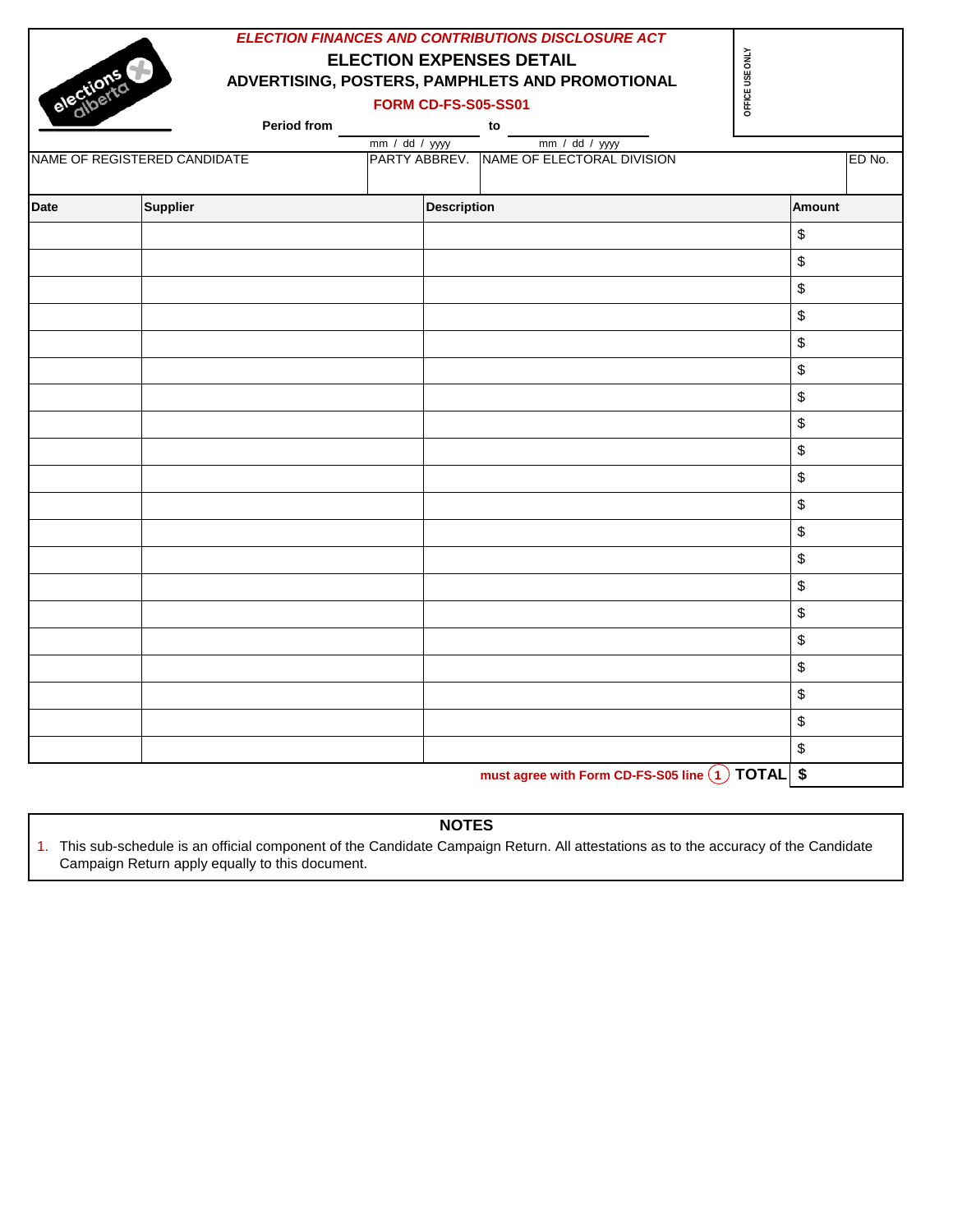|             |                              | <b>ELECTION EXPENSES DETAIL</b> | <b>ELECTION FINANCES AND CONTRIBUTIONS DISCLOSURE ACT</b>  |                                           |
|-------------|------------------------------|---------------------------------|------------------------------------------------------------|-------------------------------------------|
| elections   |                              |                                 | ADVERTISING, POSTERS, PAMPHLETS AND PROMOTIONAL            | OFFICE USE ONLY                           |
|             |                              | <b>FORM CD-FS-S05-SS01</b>      |                                                            |                                           |
|             | Period from                  |                                 |                                                            |                                           |
|             |                              | mm / dd / yyyy                  | mm / dd / yyyy<br>PARTY ABBREV. NAME OF ELECTORAL DIVISION |                                           |
|             | NAME OF REGISTERED CANDIDATE |                                 |                                                            | ED No.                                    |
| <b>Date</b> | <b>Supplier</b>              | <b>Description</b>              |                                                            | <b>Amount</b>                             |
|             |                              |                                 |                                                            | \$                                        |
|             |                              |                                 |                                                            | \$                                        |
|             |                              |                                 |                                                            | \$                                        |
|             |                              |                                 |                                                            | \$                                        |
|             |                              |                                 |                                                            | \$                                        |
|             |                              |                                 |                                                            | \$                                        |
|             |                              |                                 |                                                            | \$                                        |
|             |                              |                                 |                                                            | \$                                        |
|             |                              |                                 |                                                            | \$                                        |
|             |                              |                                 |                                                            | \$                                        |
|             |                              |                                 |                                                            | \$                                        |
|             |                              |                                 |                                                            | \$                                        |
|             |                              |                                 |                                                            | \$                                        |
|             |                              |                                 |                                                            | \$                                        |
|             |                              |                                 |                                                            | \$                                        |
|             |                              |                                 |                                                            | \$                                        |
|             |                              |                                 |                                                            | \$                                        |
|             |                              |                                 |                                                            | \$                                        |
|             |                              |                                 |                                                            | $\, \, \raisebox{12pt}{$\scriptstyle \$}$ |
|             |                              |                                 |                                                            | \$                                        |

must agree with Form CD-FS-S05 line 1 TOTAL \$

# **NOTES**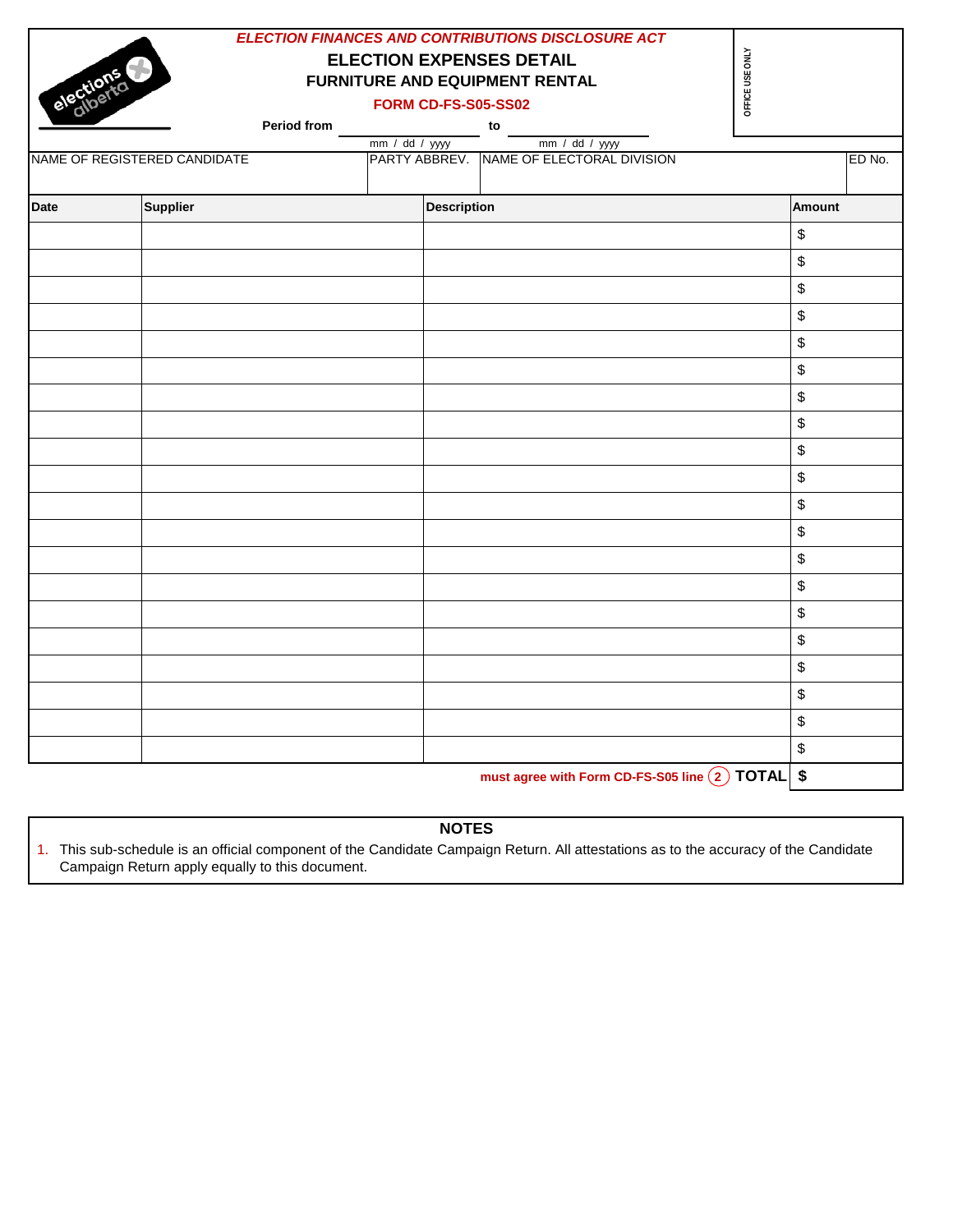|             |                              | <b>ELECTION FINANCES AND CONTRIBUTIONS DISCLOSURE ACT</b> | <b>ELECTION EXPENSES DETAIL</b> | FORM CD-FS-S05-SS02 |    | <b>FURNITURE AND EQUIPMENT RENTAL</b> | <b>ONLY</b><br>USE<br>OFFICE |        |        |
|-------------|------------------------------|-----------------------------------------------------------|---------------------------------|---------------------|----|---------------------------------------|------------------------------|--------|--------|
|             |                              | <b>Period from</b>                                        |                                 |                     | to |                                       |                              |        |        |
|             |                              |                                                           | mm / dd / yyy                   |                     |    | mm / dd / yyy                         |                              |        |        |
|             | NAME OF REGISTERED CANDIDATE |                                                           | PARTY ABBREV.                   |                     |    | <b>INAME OF ELECTORAL DIVISION</b>    |                              |        | ED No. |
| <b>Date</b> | <b>Supplier</b>              |                                                           |                                 | <b>Description</b>  |    |                                       |                              | Amount |        |
|             |                              |                                                           |                                 |                     |    |                                       |                              |        |        |

|  | $\, \, \raisebox{12pt}{$\scriptstyle \$}$         |
|--|---------------------------------------------------|
|  | $\, \, \raisebox{12pt}{$\scriptstyle \$}$         |
|  | $\, \, \raisebox{12pt}{$\scriptstyle \$}$         |
|  | $\, \, \raisebox{12pt}{$\scriptstyle \$}$         |
|  | $\, \, \raisebox{12pt}{$\scriptstyle \$}$         |
|  | $\,$                                              |
|  | $\, \, \raisebox{12pt}{$\scriptstyle \$}$         |
|  | $\, \, \raisebox{-1.5pt}{\text{\circle*{1.5}}}\,$ |
|  | $\, \, \raisebox{-1.5pt}{\text{\circle*{1.5}}}\,$ |
|  | $\, \, \raisebox{12pt}{$\scriptstyle \$}$         |
|  | $\, \, \raisebox{12pt}{$\scriptstyle \$}$         |
|  | $\, \, \raisebox{12pt}{$\scriptstyle \$}$         |
|  | $\, \, \raisebox{12pt}{$\scriptstyle \$}$         |
|  | $\, \, \raisebox{12pt}{$\scriptstyle \$}$         |
|  | $\, \, \raisebox{12pt}{$\scriptstyle \$}$         |
|  | $\,$                                              |
|  | $\, \, \raisebox{-1.5pt}{\text{\circle*{1.5}}}\,$ |
|  | $\,$                                              |
|  | $\, \, \raisebox{12pt}{$\scriptstyle \$}$         |
|  |                                                   |

**must agree with Form CD-FS-S05 line 2 TOTAL \$**

# **NOTES**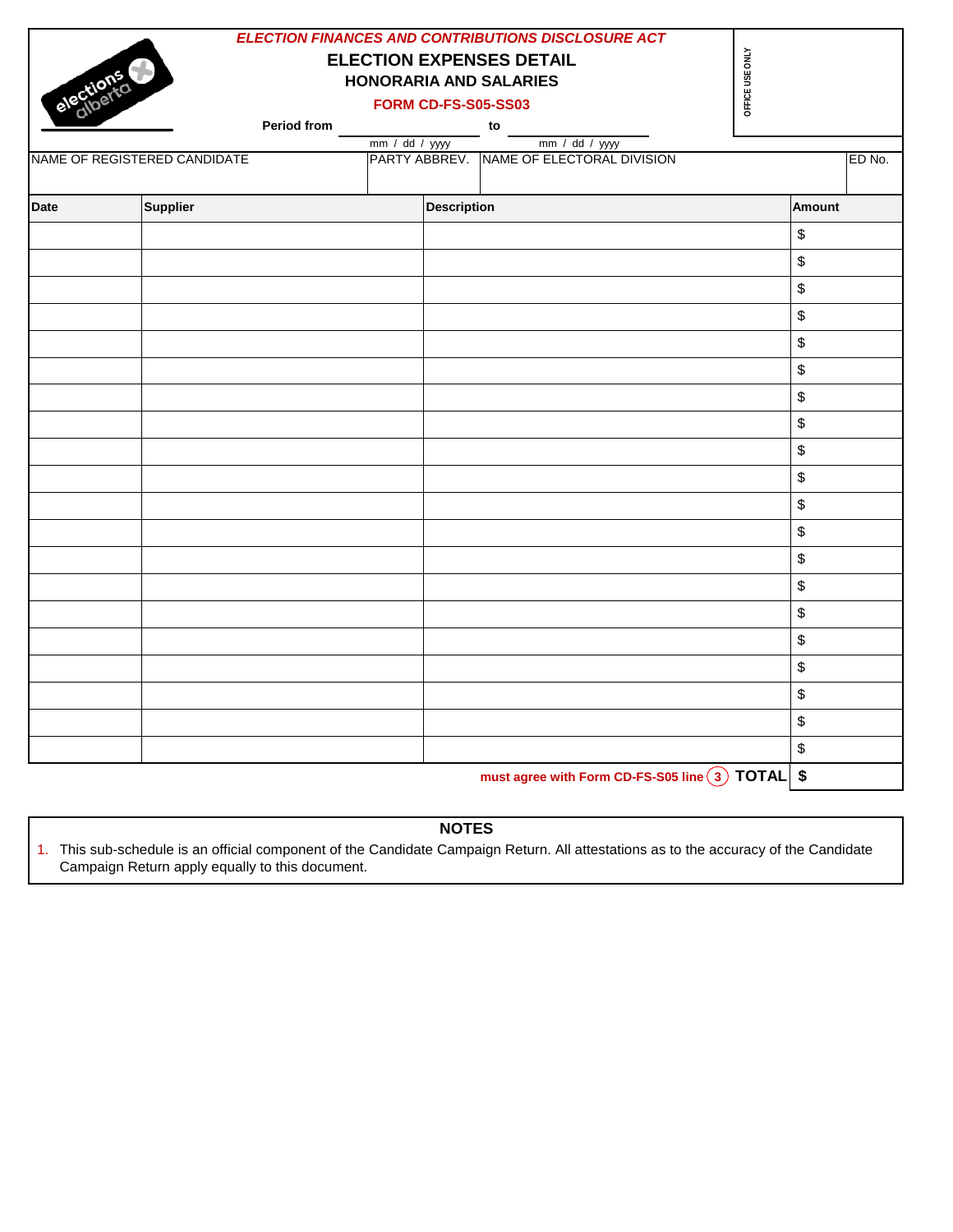|             |                              |                                                                  |                    | <b>ELECTION FINANCES AND CONTRIBUTIONS DISCLOSURE ACT</b>  |                 |        |        |
|-------------|------------------------------|------------------------------------------------------------------|--------------------|------------------------------------------------------------|-----------------|--------|--------|
|             |                              | <b>ELECTION EXPENSES DETAIL</b><br><b>HONORARIA AND SALARIES</b> |                    |                                                            | OFFICE USE ONLY |        |        |
| elections   |                              | <b>FORM CD-FS-S05-SS03</b>                                       |                    |                                                            |                 |        |        |
|             | Period from                  |                                                                  |                    | to                                                         |                 |        |        |
|             |                              | mm / dd / yyyy                                                   |                    | mm / dd / yyyy                                             |                 |        |        |
|             | NAME OF REGISTERED CANDIDATE |                                                                  |                    | PARTY ABBREV. NAME OF ELECTORAL DIVISION                   |                 |        | ED No. |
| <b>Date</b> | <b>Supplier</b>              |                                                                  | <b>Description</b> |                                                            |                 | Amount |        |
|             |                              |                                                                  |                    |                                                            |                 | \$     |        |
|             |                              |                                                                  |                    |                                                            |                 | \$     |        |
|             |                              |                                                                  |                    |                                                            |                 | \$     |        |
|             |                              |                                                                  |                    |                                                            |                 | \$     |        |
|             |                              |                                                                  |                    |                                                            |                 | \$     |        |
|             |                              |                                                                  |                    |                                                            |                 | \$     |        |
|             |                              |                                                                  |                    |                                                            |                 | \$     |        |
|             |                              |                                                                  |                    |                                                            |                 | \$     |        |
|             |                              |                                                                  |                    |                                                            |                 | \$     |        |
|             |                              |                                                                  |                    |                                                            |                 | \$     |        |
|             |                              |                                                                  |                    |                                                            |                 | \$     |        |
|             |                              |                                                                  |                    |                                                            |                 | \$     |        |
|             |                              |                                                                  |                    |                                                            |                 | \$     |        |
|             |                              |                                                                  |                    |                                                            |                 | \$     |        |
|             |                              |                                                                  |                    |                                                            |                 | \$     |        |
|             |                              |                                                                  |                    |                                                            |                 | \$     |        |
|             |                              |                                                                  |                    |                                                            |                 | \$     |        |
|             |                              |                                                                  |                    |                                                            |                 | \$     |        |
|             |                              |                                                                  |                    |                                                            |                 | \$     |        |
|             |                              |                                                                  |                    |                                                            |                 | \$     |        |
|             |                              |                                                                  |                    | must agree with Form CD-FS-S05 line $(3)$ TOTAL $\vert$ \$ |                 |        |        |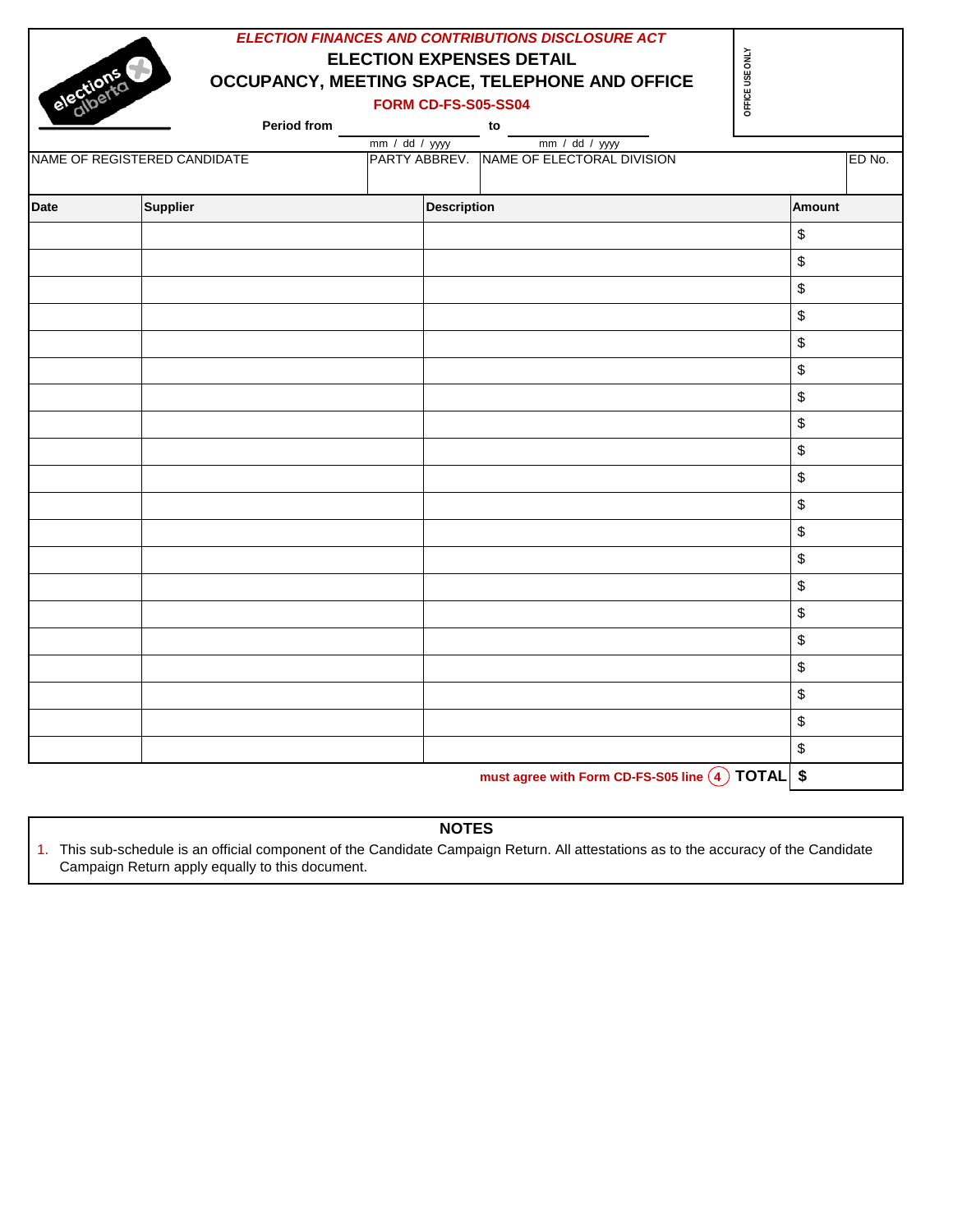|             |                              |                                 |                    | ELECTION FINANCES AND CONTRIBUTIONS DISCLOSURE ACT |                 |               |        |
|-------------|------------------------------|---------------------------------|--------------------|----------------------------------------------------|-----------------|---------------|--------|
|             |                              | <b>ELECTION EXPENSES DETAIL</b> |                    |                                                    |                 |               |        |
| elections   |                              |                                 |                    | OCCUPANCY, MEETING SPACE, TELEPHONE AND OFFICE     | OFFICE USE ONLY |               |        |
|             |                              | <b>FORM CD-FS-S05-SS04</b>      |                    |                                                    |                 |               |        |
|             | Period from                  |                                 |                    | $\frac{1}{2}$ mm / dd / yyyy                       |                 |               |        |
|             | NAME OF REGISTERED CANDIDATE |                                 |                    | PARTY ABBREV. NAME OF ELECTORAL DIVISION           |                 |               | ED No. |
|             |                              |                                 |                    |                                                    |                 |               |        |
| <b>Date</b> | <b>Supplier</b>              |                                 | <b>Description</b> |                                                    |                 | <b>Amount</b> |        |
|             |                              |                                 |                    |                                                    |                 | \$            |        |
|             |                              |                                 |                    |                                                    |                 | \$            |        |
|             |                              |                                 |                    |                                                    |                 | \$            |        |
|             |                              |                                 |                    |                                                    |                 | \$            |        |
|             |                              |                                 |                    |                                                    |                 | \$            |        |
|             |                              |                                 |                    |                                                    |                 | \$            |        |
|             |                              |                                 |                    |                                                    |                 | \$            |        |
|             |                              |                                 |                    |                                                    |                 | \$            |        |
|             |                              |                                 |                    |                                                    |                 | \$            |        |
|             |                              |                                 |                    |                                                    |                 | \$            |        |
|             |                              |                                 |                    |                                                    |                 | \$            |        |
|             |                              |                                 |                    |                                                    |                 | \$            |        |
|             |                              |                                 |                    |                                                    |                 | \$            |        |
|             |                              |                                 |                    |                                                    |                 | \$            |        |
|             |                              |                                 |                    |                                                    |                 | \$            |        |
|             |                              |                                 |                    |                                                    |                 | \$            |        |
|             |                              |                                 |                    |                                                    |                 | \$            |        |
|             |                              |                                 |                    |                                                    |                 | \$            |        |
|             |                              |                                 |                    |                                                    |                 | \$            |        |
|             |                              |                                 |                    |                                                    |                 | \$            |        |
|             |                              |                                 |                    | must agree with Form CD-FS-S05 line 4 TOTAL \$     |                 |               |        |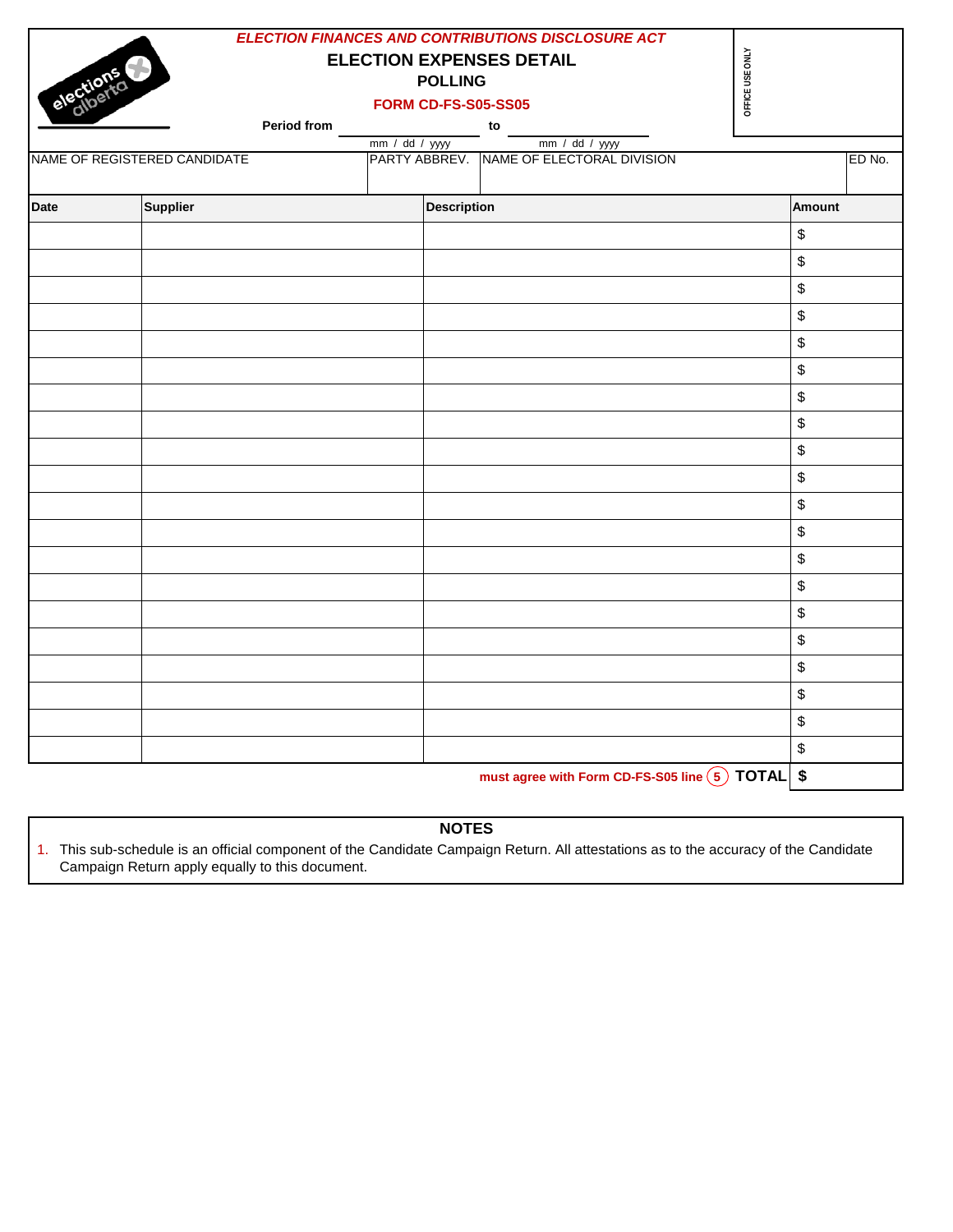|             |                              |                                 | <b>ELECTION FINANCES AND CONTRIBUTIONS DISCLOSURE ACT</b>  |                   |
|-------------|------------------------------|---------------------------------|------------------------------------------------------------|-------------------|
|             |                              | <b>ELECTION EXPENSES DETAIL</b> |                                                            | OFFICE USE ONLY   |
|             |                              | <b>POLLING</b>                  |                                                            |                   |
| elections   |                              | <b>FORM CD-FS-S05-SS05</b>      |                                                            |                   |
|             | Period from                  |                                 | to                                                         |                   |
|             | NAME OF REGISTERED CANDIDATE | mm / dd / yyyy                  | mm / dd / yyyy<br>PARTY ABBREV. NAME OF ELECTORAL DIVISION | ED No.            |
|             |                              |                                 |                                                            |                   |
| <b>Date</b> | Supplier                     | <b>Description</b>              |                                                            | <b>Amount</b>     |
|             |                              |                                 |                                                            | \$                |
|             |                              |                                 |                                                            | \$                |
|             |                              |                                 |                                                            | \$                |
|             |                              |                                 |                                                            | \$                |
|             |                              |                                 |                                                            | \$                |
|             |                              |                                 |                                                            | \$                |
|             |                              |                                 |                                                            | \$                |
|             |                              |                                 |                                                            | \$                |
|             |                              |                                 |                                                            | \$                |
|             |                              |                                 |                                                            | \$                |
|             |                              |                                 |                                                            | \$                |
|             |                              |                                 |                                                            | \$                |
|             |                              |                                 |                                                            | \$                |
|             |                              |                                 |                                                            | \$                |
|             |                              |                                 |                                                            | \$                |
|             |                              |                                 |                                                            | \$                |
|             |                              |                                 |                                                            | \$                |
|             |                              |                                 |                                                            | \$                |
|             |                              |                                 |                                                            | \$                |
|             |                              |                                 |                                                            | \$                |
|             |                              |                                 | must agree with Form CD-FS-S05 line $(5)$ TOTAL            | $\boldsymbol{\$}$ |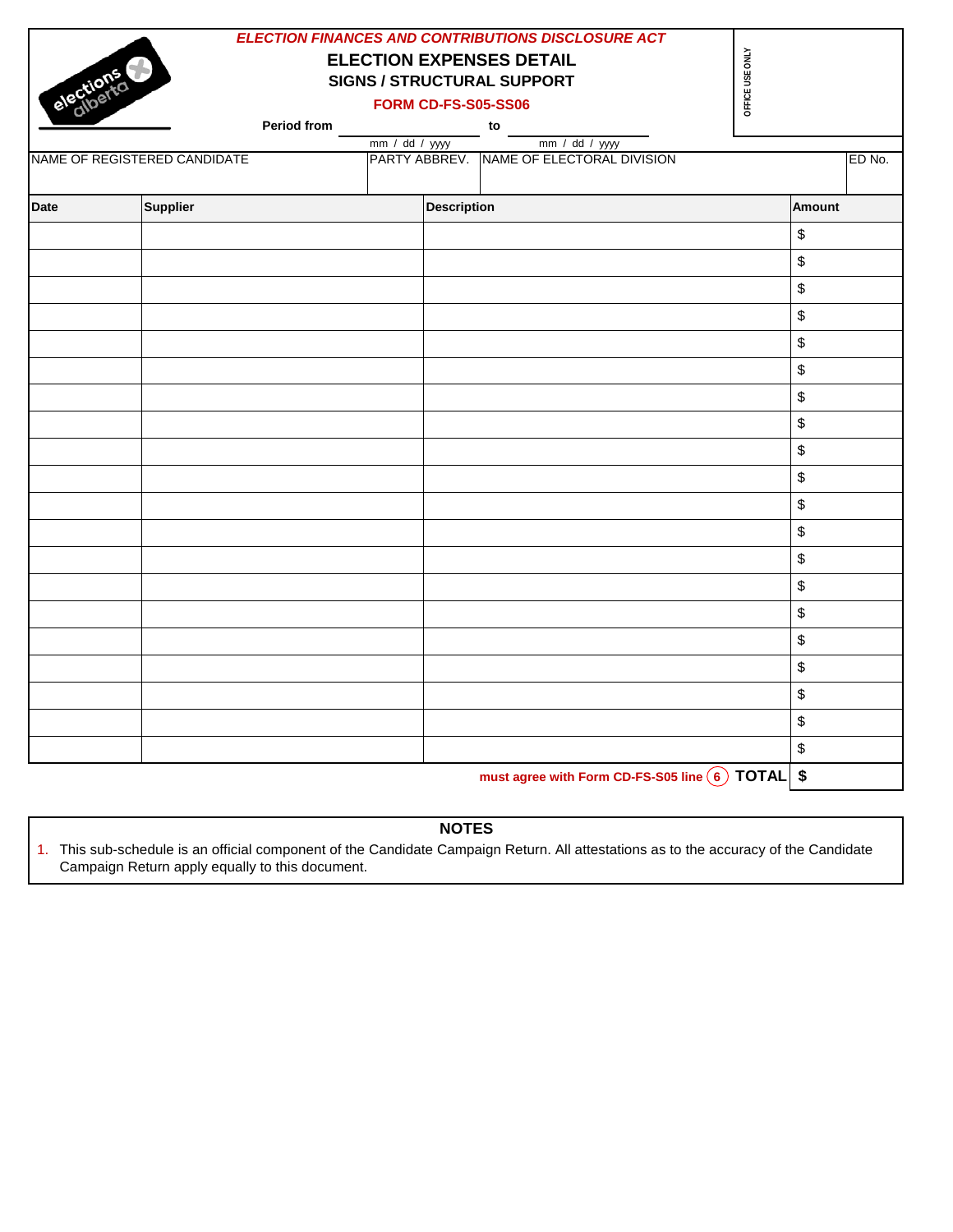|             |                              |                                                                      |                            | <b>ELECTION FINANCES AND CONTRIBUTIONS DISCLOSURE ACT</b> |                 |                                           |
|-------------|------------------------------|----------------------------------------------------------------------|----------------------------|-----------------------------------------------------------|-----------------|-------------------------------------------|
|             |                              | <b>ELECTION EXPENSES DETAIL</b><br><b>SIGNS / STRUCTURAL SUPPORT</b> |                            |                                                           | OFFICE USE ONLY |                                           |
| elec        |                              |                                                                      | <b>FORM CD-FS-S05-SS06</b> |                                                           |                 |                                           |
|             |                              | Period from ___________________________to                            |                            |                                                           |                 |                                           |
|             |                              | mm / dd / yyyy                                                       |                            | mm / dd / yyyy                                            |                 |                                           |
|             | NAME OF REGISTERED CANDIDATE |                                                                      |                            | PARTY ABBREV. NAME OF ELECTORAL DIVISION                  |                 | ED No.                                    |
| <b>Date</b> | Supplier                     |                                                                      | <b>Description</b>         |                                                           |                 | <b>Amount</b>                             |
|             |                              |                                                                      |                            |                                                           |                 | $\, \, \raisebox{12pt}{$\scriptstyle \$}$ |
|             |                              |                                                                      |                            |                                                           |                 | $\,$                                      |
|             |                              |                                                                      |                            |                                                           |                 | \$                                        |
|             |                              |                                                                      |                            |                                                           |                 | $\, \, \raisebox{12pt}{$\scriptstyle \$}$ |
|             |                              |                                                                      |                            |                                                           |                 | \$                                        |
|             |                              |                                                                      |                            |                                                           |                 | $\, \, \raisebox{12pt}{$\scriptstyle \$}$ |
|             |                              |                                                                      |                            |                                                           |                 | \$                                        |
|             |                              |                                                                      |                            |                                                           |                 | $\, \, \raisebox{12pt}{$\scriptstyle \$}$ |
|             |                              |                                                                      |                            |                                                           |                 | $\,$                                      |
|             |                              |                                                                      |                            |                                                           |                 | \$                                        |
|             |                              |                                                                      |                            |                                                           |                 | \$                                        |
|             |                              |                                                                      |                            |                                                           |                 | \$                                        |
|             |                              |                                                                      |                            |                                                           |                 | \$                                        |
|             |                              |                                                                      |                            |                                                           |                 | \$                                        |
|             |                              |                                                                      |                            |                                                           |                 | $\, \, \raisebox{12pt}{$\scriptstyle \$}$ |
|             |                              |                                                                      |                            |                                                           |                 | $\,$                                      |
|             |                              |                                                                      |                            |                                                           |                 | $\, \, \raisebox{12pt}{$\scriptstyle \$}$ |
|             |                              |                                                                      |                            |                                                           |                 | \$                                        |
|             |                              |                                                                      |                            |                                                           |                 | $\, \, \raisebox{12pt}{$\scriptstyle \$}$ |
|             |                              |                                                                      |                            |                                                           |                 | \$                                        |
|             |                              |                                                                      |                            |                                                           |                 |                                           |

**must agree with Form CD-FS-S05 line 6 TOTAL \$**

# **NOTES**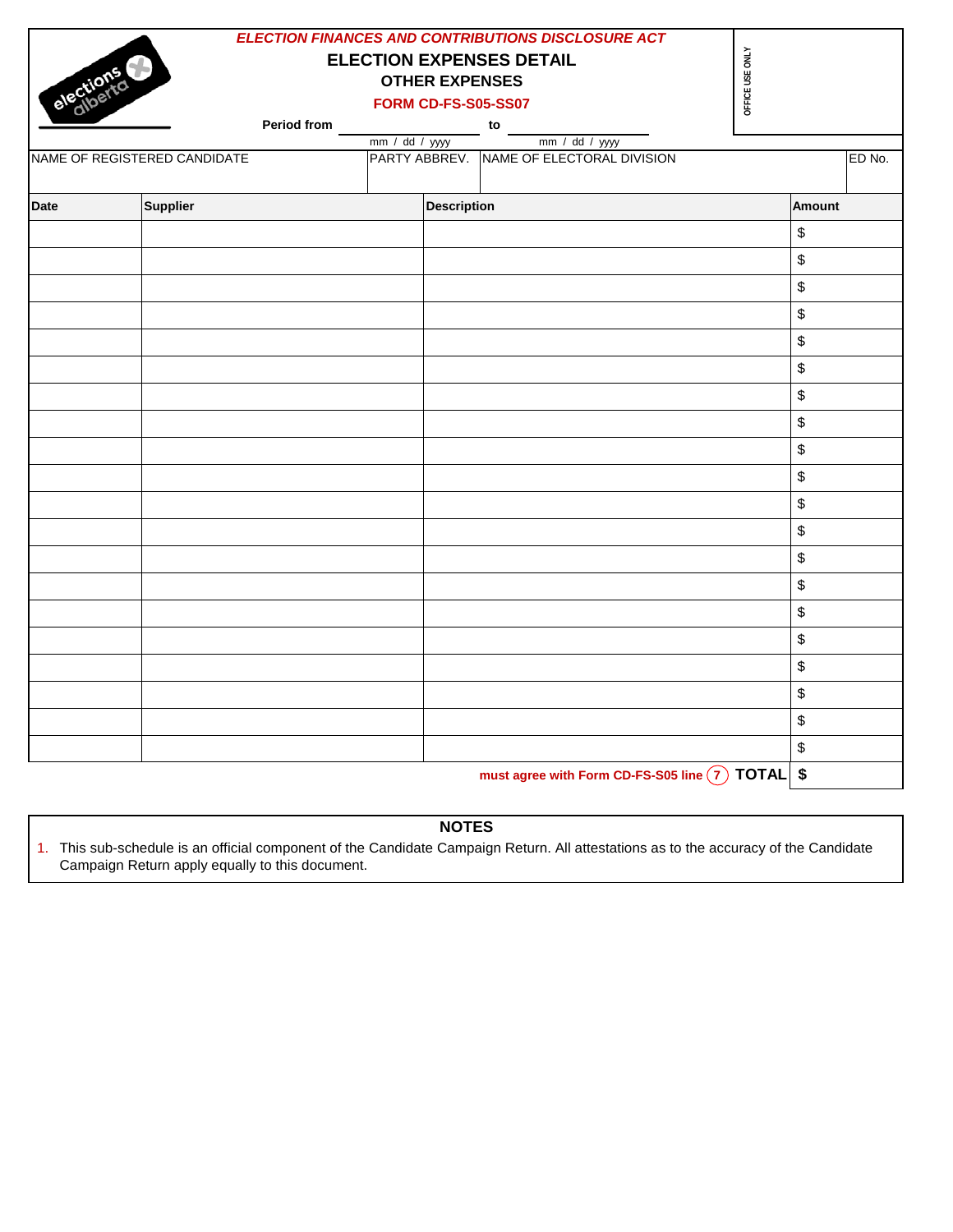|             |                              |                                                          | <b>ELECTION FINANCES AND CONTRIBUTIONS DISCLOSURE ACT</b> |                             |        |
|-------------|------------------------------|----------------------------------------------------------|-----------------------------------------------------------|-----------------------------|--------|
| elections   |                              | <b>ELECTION EXPENSES DETAIL</b><br><b>OTHER EXPENSES</b> |                                                           | OFFICE USE ONLY             |        |
|             |                              | <b>FORM CD-FS-S05-SS07</b>                               |                                                           |                             |        |
|             | Period from                  |                                                          | to                                                        |                             |        |
|             | NAME OF REGISTERED CANDIDATE | mm / dd / yyyy<br>PARTY ABBREV.                          | mm / dd / yyyy<br>NAME OF ELECTORAL DIVISION              |                             | ED No. |
|             |                              |                                                          |                                                           |                             |        |
| <b>Date</b> | <b>Supplier</b>              | <b>Description</b>                                       |                                                           |                             | Amount |
|             |                              |                                                          |                                                           |                             | \$     |
|             |                              |                                                          |                                                           |                             | \$     |
|             |                              |                                                          |                                                           |                             | \$     |
|             |                              |                                                          |                                                           |                             | \$     |
|             |                              |                                                          |                                                           |                             | \$     |
|             |                              |                                                          |                                                           |                             | \$     |
|             |                              |                                                          |                                                           |                             | \$     |
|             |                              |                                                          |                                                           |                             | \$     |
|             |                              |                                                          |                                                           |                             | \$     |
|             |                              |                                                          |                                                           |                             | \$     |
|             |                              |                                                          |                                                           |                             | \$     |
|             |                              |                                                          |                                                           |                             | \$     |
|             |                              |                                                          |                                                           |                             | \$     |
|             |                              |                                                          |                                                           |                             | \$     |
|             |                              |                                                          |                                                           |                             | \$     |
|             |                              |                                                          |                                                           |                             | \$     |
|             |                              |                                                          |                                                           |                             | \$     |
|             |                              |                                                          |                                                           |                             | \$     |
|             |                              |                                                          |                                                           |                             | \$     |
|             |                              |                                                          |                                                           |                             | \$     |
|             |                              |                                                          |                                                           | $\bigcap$ $\longrightarrow$ | . L    |

must agree with Form CD-FS-S05 line  $(7)$  TOTAL  $\vert$  \$

# **NOTES**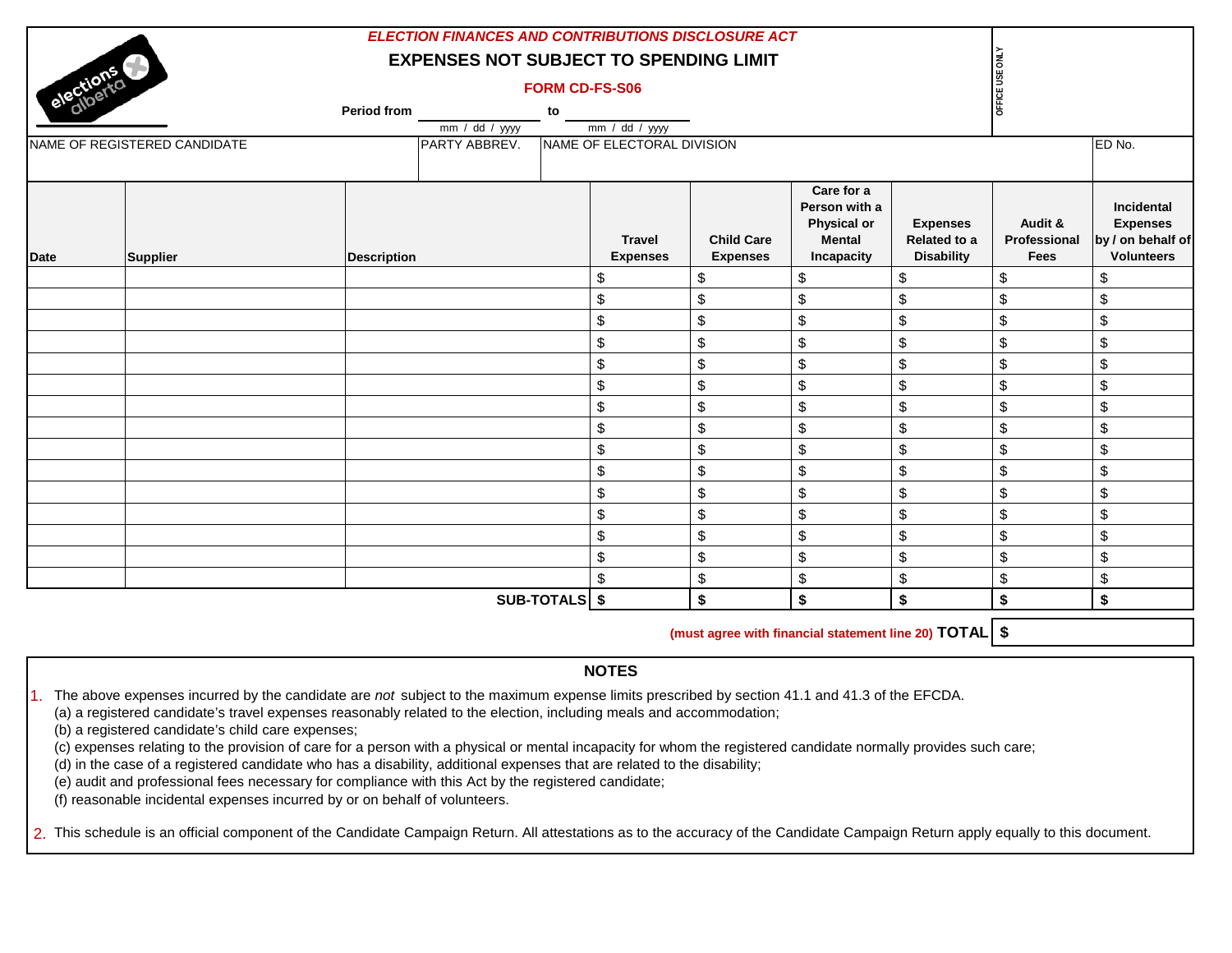|             |                              |                    | <b>ELECTION FINANCES AND CONTRIBUTIONS DISCLOSURE ACT</b> |                                  |                                      |                                                                           |                                                             |                                        |                                                                         |
|-------------|------------------------------|--------------------|-----------------------------------------------------------|----------------------------------|--------------------------------------|---------------------------------------------------------------------------|-------------------------------------------------------------|----------------------------------------|-------------------------------------------------------------------------|
|             |                              |                    | <b>EXPENSES NOT SUBJECT TO SPENDING LIMIT</b>             |                                  |                                      |                                                                           |                                                             |                                        |                                                                         |
| elections   |                              |                    | <b>FORM CD-FS-S06</b>                                     |                                  |                                      |                                                                           |                                                             | OFFICE USE ONLY                        |                                                                         |
|             |                              | Period from        | to                                                        |                                  |                                      |                                                                           |                                                             |                                        |                                                                         |
|             |                              |                    | mm / dd / yyyy                                            | $mm / dd / yy$ yy                |                                      |                                                                           |                                                             |                                        |                                                                         |
|             | NAME OF REGISTERED CANDIDATE | PARTY ABBREV.      |                                                           | NAME OF ELECTORAL DIVISION       |                                      |                                                                           |                                                             |                                        | ED No.                                                                  |
|             |                              |                    |                                                           | <b>Travel</b><br><b>Expenses</b> | <b>Child Care</b><br><b>Expenses</b> | Care for a<br>Person with a<br>Physical or<br><b>Mental</b><br>Incapacity | <b>Expenses</b><br><b>Related to a</b><br><b>Disability</b> | Audit &<br>Professional<br><b>Fees</b> | Incidental<br><b>Expenses</b><br>by / on behalf of<br><b>Volunteers</b> |
| <b>Date</b> | <b>Supplier</b>              | <b>Description</b> |                                                           |                                  |                                      |                                                                           |                                                             |                                        |                                                                         |
|             |                              |                    |                                                           | \$                               | \$                                   | \$                                                                        | \$                                                          | \$                                     | \$                                                                      |
|             |                              |                    |                                                           | \$                               | \$                                   | \$                                                                        | \$                                                          | \$                                     | \$                                                                      |
|             |                              |                    |                                                           | $\boldsymbol{\mathsf{S}}$        | \$                                   | $\$\$                                                                     | \$                                                          | \$                                     | \$                                                                      |
|             |                              |                    |                                                           | $\boldsymbol{\mathsf{S}}$        | \$                                   | $\sqrt[6]{\frac{1}{2}}$                                                   | \$                                                          | \$                                     | \$                                                                      |
|             |                              |                    |                                                           | $\boldsymbol{\mathsf{S}}$        | \$                                   | $\sqrt[6]{\frac{1}{2}}$                                                   | \$                                                          | \$                                     | \$                                                                      |
|             |                              |                    |                                                           | $\boldsymbol{\mathsf{S}}$        | \$                                   | $\sqrt[6]{\frac{1}{2}}$                                                   | \$                                                          | \$                                     | $\boldsymbol{\mathsf{S}}$                                               |
|             |                              |                    |                                                           | \$                               | \$                                   | $\sqrt[6]{\frac{1}{2}}$                                                   | \$                                                          | \$                                     | \$                                                                      |
|             |                              |                    |                                                           | $\boldsymbol{\$}$                | \$                                   | $\$\$                                                                     | \$                                                          | \$                                     | $\boldsymbol{\mathsf{S}}$                                               |
|             |                              |                    |                                                           | \$                               | \$                                   | $\$\$                                                                     | \$                                                          | \$                                     | \$                                                                      |
|             |                              |                    |                                                           | $\boldsymbol{\mathsf{S}}$        | \$                                   | $\boldsymbol{\mathsf{S}}$                                                 | \$                                                          | \$                                     | $\$\$                                                                   |
|             |                              |                    |                                                           | \$                               | \$                                   | $\sqrt[6]{\frac{1}{2}}$                                                   | \$                                                          | \$                                     | $\sqrt[6]{\frac{1}{2}}$                                                 |
|             |                              |                    |                                                           | \$                               | \$                                   | $\sqrt[6]{\frac{1}{2}}$                                                   | \$                                                          | \$                                     | \$                                                                      |
|             |                              |                    |                                                           | \$                               | \$                                   | $\sqrt[6]{\frac{1}{2}}$                                                   | \$                                                          | \$                                     | \$                                                                      |
|             |                              |                    |                                                           | \$                               | \$                                   | \$                                                                        | \$                                                          | \$                                     | \$                                                                      |
|             |                              |                    |                                                           | \$                               | \$                                   | $\sqrt[6]{\frac{1}{2}}$                                                   | \$                                                          | \$                                     | \$                                                                      |
|             |                              |                    | SUB-TOTALS \$                                             |                                  | \$                                   | \$                                                                        | \$                                                          | \$                                     | \$                                                                      |

**(must agree with financial statement line 20) TOTAL \$**

#### **NOTES**

1. The above expenses incurred by the candidate are *not* subject to the maximum expense limits prescribed by section 41.1 and 41.3 of the EFCDA.

(a) a registered candidate's travel expenses reasonably related to the election, including meals and accommodation;

(b) a registered candidate's child care expenses;

(c) expenses relating to the provision of care for a person with a physical or mental incapacity for whom the registered candidate normally provides such care;

(d) in the case of a registered candidate who has a disability, additional expenses that are related to the disability;

(e) audit and professional fees necessary for compliance with this Act by the registered candidate;

(f) reasonable incidental expenses incurred by or on behalf of volunteers.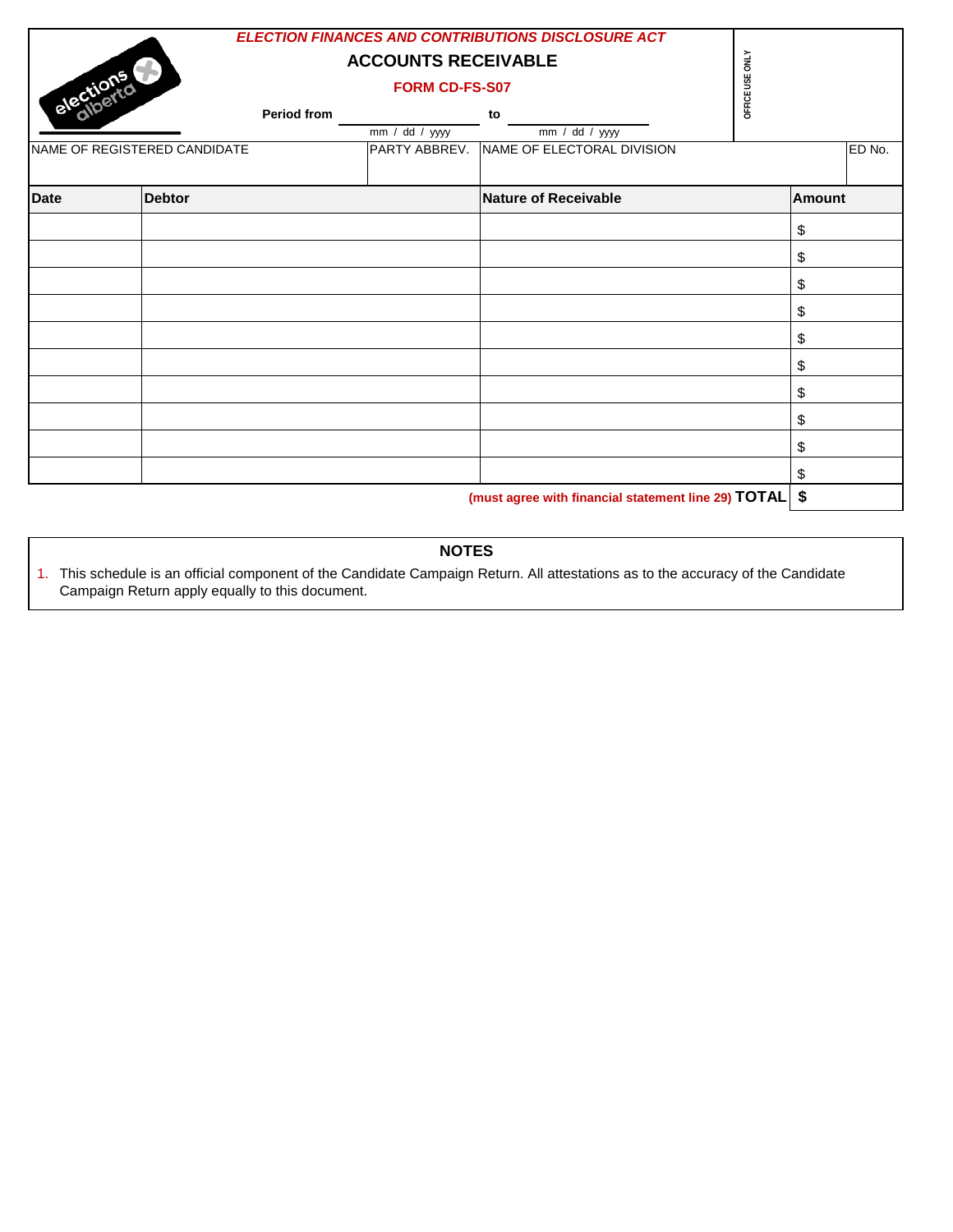| elections   |                              |             | <b>ELECTION FINANCES AND CONTRIBUTIONS DISCLOSURE ACT</b><br><b>ACCOUNTS RECEIVABLE</b><br>FORM CD-FS-S07 | OFFICE USE ONLY                                            |  |               |        |
|-------------|------------------------------|-------------|-----------------------------------------------------------------------------------------------------------|------------------------------------------------------------|--|---------------|--------|
|             |                              | Period from |                                                                                                           | to                                                         |  |               |        |
|             | NAME OF REGISTERED CANDIDATE |             | mm / dd / yyyy                                                                                            | mm / dd / yyyy<br>PARTY ABBREV. NAME OF ELECTORAL DIVISION |  |               | ED No. |
| <b>Date</b> | <b>Debtor</b>                |             |                                                                                                           | <b>Nature of Receivable</b>                                |  | <b>Amount</b> |        |
|             |                              |             |                                                                                                           |                                                            |  | \$            |        |
|             |                              |             |                                                                                                           |                                                            |  | \$            |        |
|             |                              |             |                                                                                                           |                                                            |  | \$            |        |
|             |                              |             |                                                                                                           |                                                            |  | \$            |        |
|             |                              |             |                                                                                                           |                                                            |  | \$            |        |
|             |                              |             |                                                                                                           |                                                            |  | \$            |        |
|             |                              |             |                                                                                                           |                                                            |  | \$            |        |
|             |                              |             |                                                                                                           |                                                            |  | \$            |        |
|             |                              |             |                                                                                                           |                                                            |  | \$            |        |
|             |                              |             |                                                                                                           |                                                            |  | \$            |        |
|             |                              |             |                                                                                                           | $(must)$ agree with financial statement line 20) $TOTAL$   |  | ¢             |        |

**(must agree with financial statement line 29) TOTAL \$**

## **NOTES**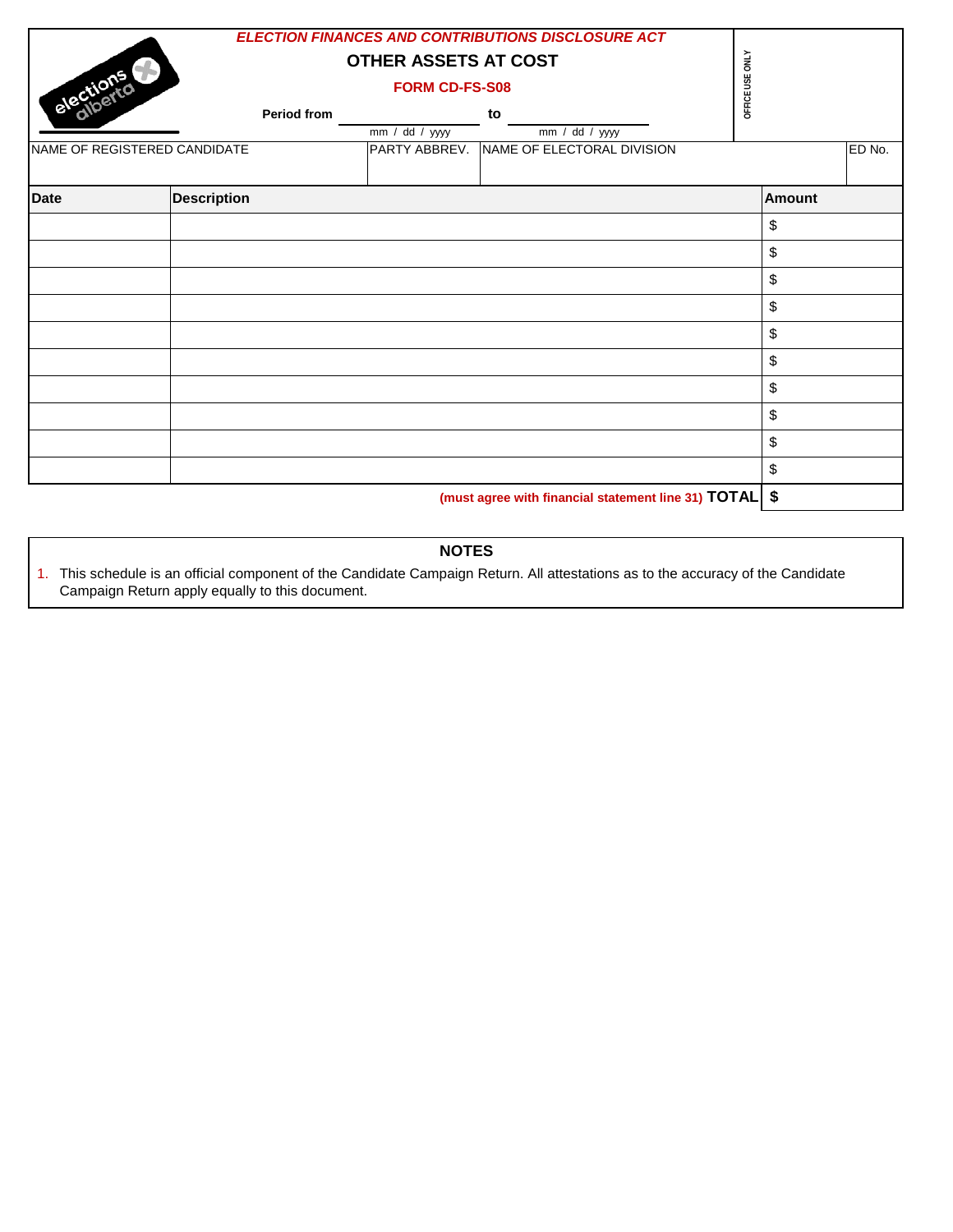| elections<br><b>Period from</b><br>NAME OF REGISTERED CANDIDATE |                    | <b>ELECTION FINANCES AND CONTRIBUTIONS DISCLOSURE ACT</b><br><b>OTHER ASSETS AT COST</b><br><b>FORM CD-FS-S08</b><br>to<br>mm / dd / yyyy<br>$\overline{mm}$ / dd / yyyy<br>PARTY ABBREV. NAME OF ELECTORAL DIVISION |                                                          |  | OFFICE USE ONLY<br>ED No. |  |  |
|-----------------------------------------------------------------|--------------------|----------------------------------------------------------------------------------------------------------------------------------------------------------------------------------------------------------------------|----------------------------------------------------------|--|---------------------------|--|--|
| <b>Date</b>                                                     | <b>Description</b> |                                                                                                                                                                                                                      |                                                          |  | <b>Amount</b>             |  |  |
|                                                                 |                    |                                                                                                                                                                                                                      |                                                          |  | \$                        |  |  |
|                                                                 |                    |                                                                                                                                                                                                                      |                                                          |  | \$                        |  |  |
|                                                                 |                    |                                                                                                                                                                                                                      |                                                          |  | \$                        |  |  |
|                                                                 |                    |                                                                                                                                                                                                                      |                                                          |  | \$                        |  |  |
|                                                                 |                    |                                                                                                                                                                                                                      |                                                          |  | \$                        |  |  |
|                                                                 |                    |                                                                                                                                                                                                                      |                                                          |  | \$                        |  |  |
|                                                                 |                    |                                                                                                                                                                                                                      |                                                          |  | \$                        |  |  |
|                                                                 |                    |                                                                                                                                                                                                                      |                                                          |  | \$                        |  |  |
|                                                                 |                    |                                                                                                                                                                                                                      |                                                          |  | \$                        |  |  |
|                                                                 |                    |                                                                                                                                                                                                                      |                                                          |  | \$                        |  |  |
|                                                                 |                    |                                                                                                                                                                                                                      | (must agree with financial statement line 31) TOTAL   \$ |  |                           |  |  |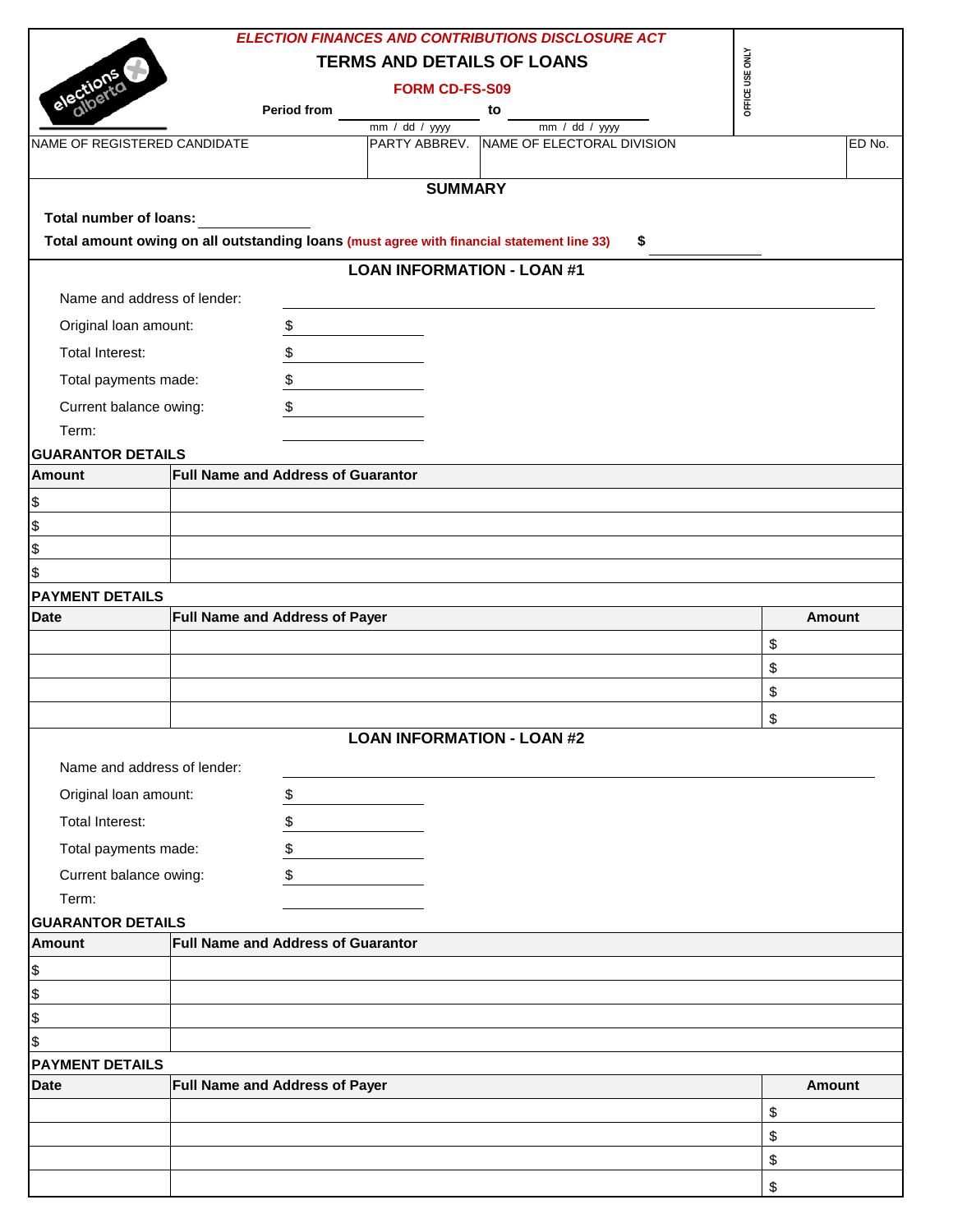|                                       |                                                                                           |                                   | <b>ELECTION FINANCES AND CONTRIBUTIONS DISCLOSURE ACT</b>     |                 |
|---------------------------------------|-------------------------------------------------------------------------------------------|-----------------------------------|---------------------------------------------------------------|-----------------|
|                                       |                                                                                           | <b>TERMS AND DETAILS OF LOANS</b> |                                                               | OFFICE USE ONLY |
|                                       |                                                                                           | <b>FORM CD-FS-S09</b>             |                                                               |                 |
| electi                                | <b>Period from</b>                                                                        |                                   | to                                                            |                 |
| NAME OF REGISTERED CANDIDATE          |                                                                                           | $mm / dd / yy$ yyyy               | $mm / dd / yy$ yy<br>PARTY ABBREV. NAME OF ELECTORAL DIVISION | ED No.          |
|                                       |                                                                                           |                                   |                                                               |                 |
|                                       |                                                                                           | <b>SUMMARY</b>                    |                                                               |                 |
| <b>Total number of loans:</b>         |                                                                                           |                                   |                                                               |                 |
|                                       | Total amount owing on all outstanding loans (must agree with financial statement line 33) |                                   | \$                                                            |                 |
|                                       |                                                                                           | <b>LOAN INFORMATION - LOAN #1</b> |                                                               |                 |
| Name and address of lender:           |                                                                                           |                                   |                                                               |                 |
| Original loan amount:                 | \$                                                                                        |                                   |                                                               |                 |
| <b>Total Interest:</b>                | \$                                                                                        |                                   |                                                               |                 |
| Total payments made:                  | \$                                                                                        |                                   |                                                               |                 |
| Current balance owing:                | \$                                                                                        |                                   |                                                               |                 |
| Term:                                 |                                                                                           |                                   |                                                               |                 |
| <b>GUARANTOR DETAILS</b>              |                                                                                           |                                   |                                                               |                 |
| <b>Amount</b>                         | <b>Full Name and Address of Guarantor</b>                                                 |                                   |                                                               |                 |
| \$                                    |                                                                                           |                                   |                                                               |                 |
| \$                                    |                                                                                           |                                   |                                                               |                 |
| \$                                    |                                                                                           |                                   |                                                               |                 |
| \$                                    |                                                                                           |                                   |                                                               |                 |
| <b>PAYMENT DETAILS</b>                |                                                                                           |                                   |                                                               |                 |
| <b>Date</b>                           | Full Name and Address of Payer                                                            |                                   |                                                               | <b>Amount</b>   |
|                                       |                                                                                           |                                   |                                                               | \$              |
|                                       |                                                                                           |                                   |                                                               | \$              |
|                                       |                                                                                           |                                   |                                                               | \$              |
|                                       |                                                                                           |                                   |                                                               | \$              |
|                                       |                                                                                           | <b>LOAN INFORMATION - LOAN #2</b> |                                                               |                 |
| Name and address of lender:           |                                                                                           |                                   |                                                               |                 |
| Original loan amount:                 | \$                                                                                        |                                   |                                                               |                 |
| Total Interest:                       | \$                                                                                        |                                   |                                                               |                 |
| Total payments made:                  | \$                                                                                        |                                   |                                                               |                 |
| Current balance owing:                | \$                                                                                        |                                   |                                                               |                 |
| Term:                                 |                                                                                           |                                   |                                                               |                 |
| <b>GUARANTOR DETAILS</b>              |                                                                                           |                                   |                                                               |                 |
| <b>Amount</b>                         | <b>Full Name and Address of Guarantor</b>                                                 |                                   |                                                               |                 |
| \$                                    |                                                                                           |                                   |                                                               |                 |
| \$                                    |                                                                                           |                                   |                                                               |                 |
| \$                                    |                                                                                           |                                   |                                                               |                 |
| \$                                    |                                                                                           |                                   |                                                               |                 |
| <b>PAYMENT DETAILS</b><br><b>Date</b> | Full Name and Address of Payer                                                            |                                   |                                                               | <b>Amount</b>   |
|                                       |                                                                                           |                                   |                                                               |                 |
|                                       |                                                                                           |                                   |                                                               | \$              |
|                                       |                                                                                           |                                   |                                                               | \$<br>\$        |
|                                       |                                                                                           |                                   |                                                               |                 |
|                                       |                                                                                           |                                   |                                                               | \$              |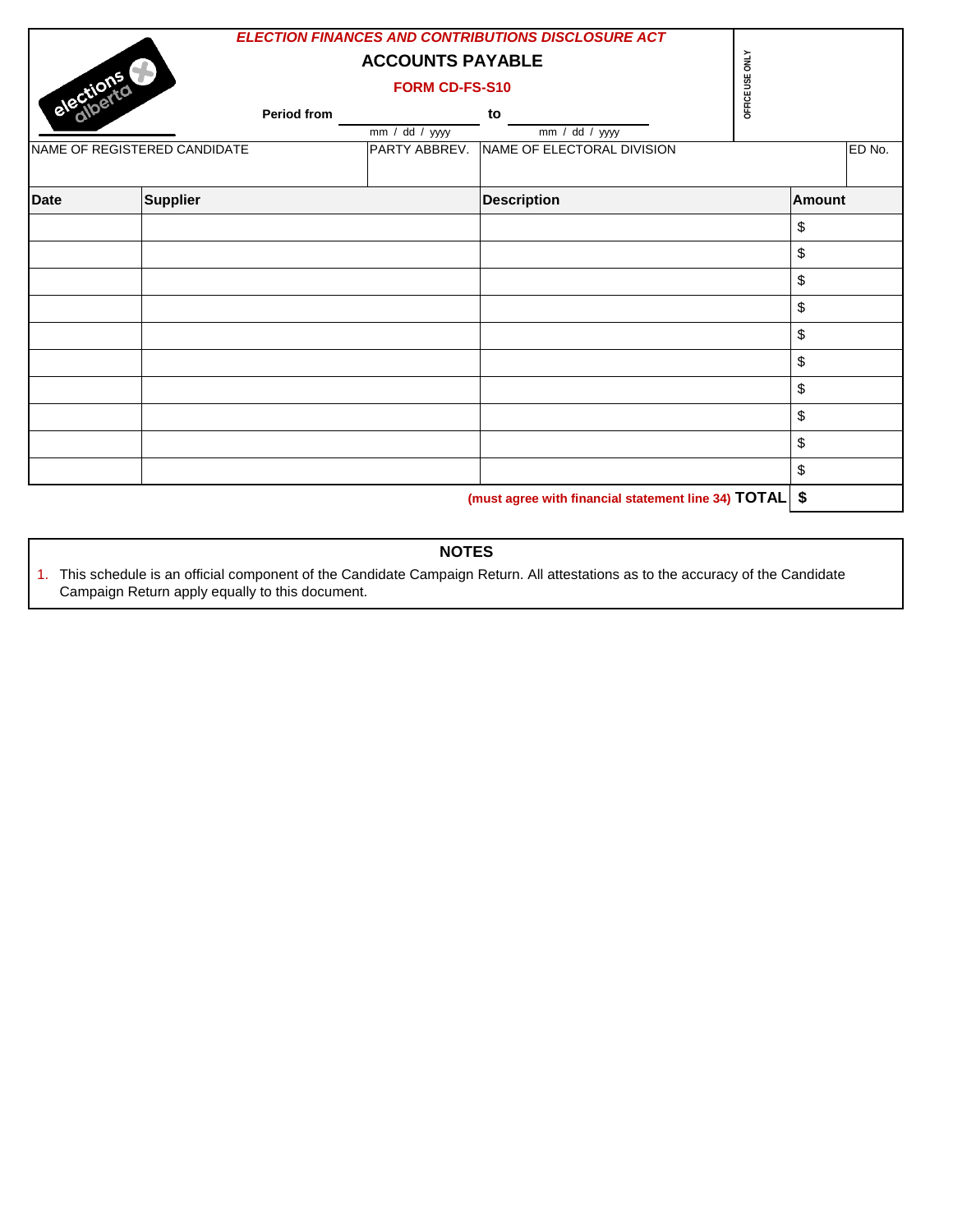| elections   |                              |             | <b>ELECTION FINANCES AND CONTRIBUTIONS DISCLOSURE ACT</b><br><b>ACCOUNTS PAYABLE</b><br>FORM CD-FS-S10 | OFFICE USE ONLY            |  |           |        |
|-------------|------------------------------|-------------|--------------------------------------------------------------------------------------------------------|----------------------------|--|-----------|--------|
|             |                              | Period from | $\overline{mm}$ / dd / yyyy                                                                            | to<br>$mm / dd / yy$ yy    |  |           |        |
|             | NAME OF REGISTERED CANDIDATE |             | PARTY ABBREV.                                                                                          | NAME OF ELECTORAL DIVISION |  |           | ED No. |
| <b>Date</b> | <b>Supplier</b>              |             |                                                                                                        | <b>Description</b>         |  | Amount    |        |
|             |                              |             |                                                                                                        |                            |  | \$        |        |
|             |                              |             |                                                                                                        |                            |  | \$        |        |
|             |                              |             |                                                                                                        |                            |  | \$        |        |
|             |                              |             |                                                                                                        |                            |  | \$        |        |
|             |                              |             |                                                                                                        |                            |  | \$        |        |
|             |                              |             |                                                                                                        |                            |  | \$        |        |
|             |                              |             |                                                                                                        |                            |  | \$        |        |
|             |                              |             |                                                                                                        |                            |  | \$        |        |
|             |                              |             |                                                                                                        |                            |  | \$        |        |
|             |                              |             |                                                                                                        |                            |  | \$        |        |
|             |                              |             |                                                                                                        |                            |  | $\bullet$ |        |

**(must agree with financial statement line 34) TOTAL \$**

# **NOTES**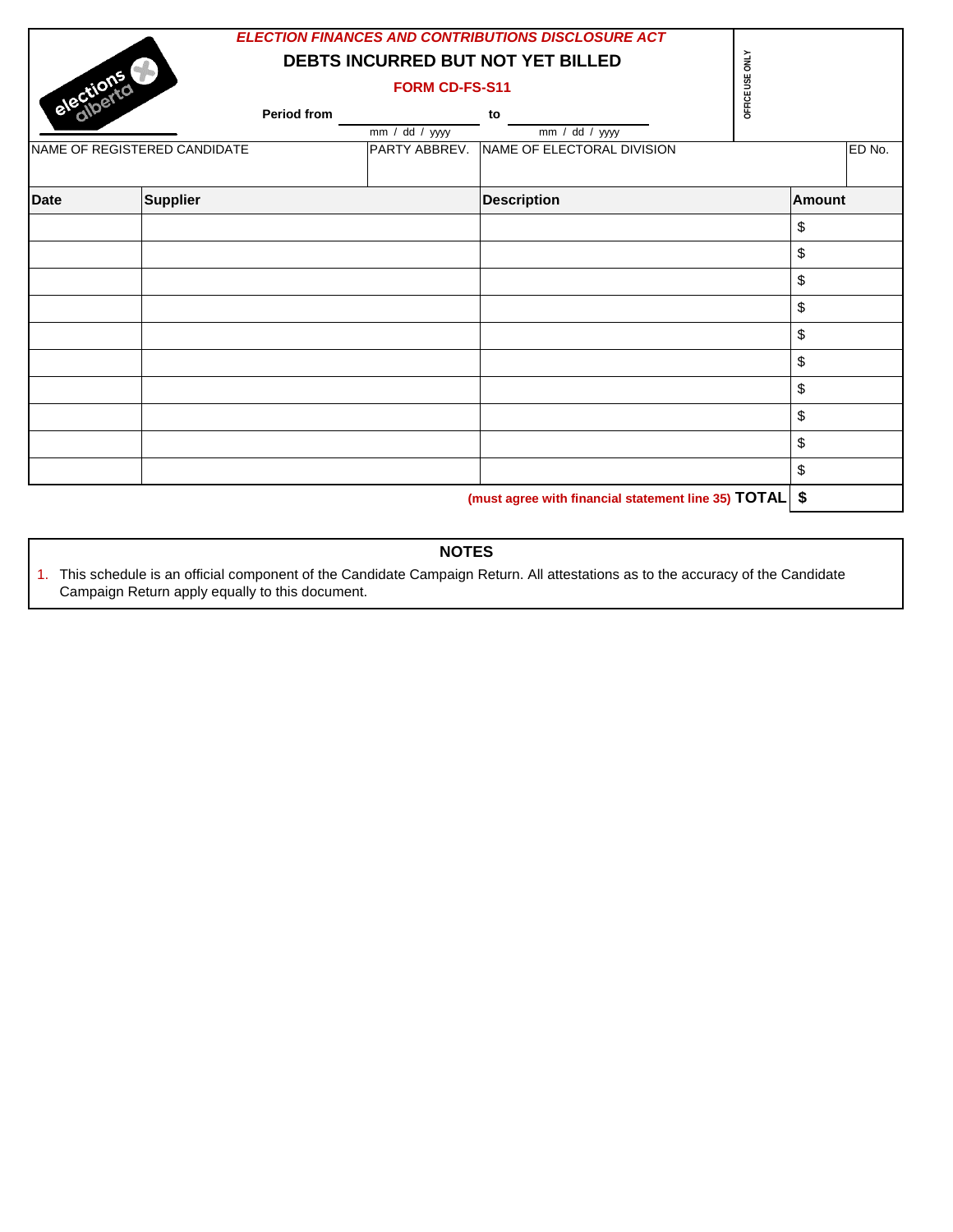| elections                    |                 |               | FORM CD-FS-S11             | <b>ELECTION FINANCES AND CONTRIBUTIONS DISCLOSURE ACT</b><br>DEBTS INCURRED BUT NOT YET BILLED                                                                                                                                           | OFFICE USE ONLY                                                               |               |
|------------------------------|-----------------|---------------|----------------------------|------------------------------------------------------------------------------------------------------------------------------------------------------------------------------------------------------------------------------------------|-------------------------------------------------------------------------------|---------------|
|                              |                 | Period from   | $\overline{mm / dd / yy}$  | to<br>mm / dd / yyyy                                                                                                                                                                                                                     |                                                                               |               |
| NAME OF REGISTERED CANDIDATE |                 | PARTY ABBREV. | NAME OF ELECTORAL DIVISION |                                                                                                                                                                                                                                          | ED No.                                                                        |               |
| <b>Date</b>                  | <b>Supplier</b> |               |                            | <b>Description</b>                                                                                                                                                                                                                       |                                                                               | <b>Amount</b> |
|                              |                 |               |                            |                                                                                                                                                                                                                                          |                                                                               | \$            |
|                              |                 |               |                            |                                                                                                                                                                                                                                          |                                                                               | \$            |
|                              |                 |               |                            |                                                                                                                                                                                                                                          |                                                                               | \$            |
|                              |                 |               |                            |                                                                                                                                                                                                                                          |                                                                               | \$            |
|                              |                 |               |                            |                                                                                                                                                                                                                                          |                                                                               | \$            |
|                              |                 |               |                            |                                                                                                                                                                                                                                          |                                                                               | \$            |
|                              |                 |               |                            |                                                                                                                                                                                                                                          |                                                                               | \$            |
|                              |                 |               |                            |                                                                                                                                                                                                                                          |                                                                               | \$            |
|                              |                 |               |                            |                                                                                                                                                                                                                                          |                                                                               | \$            |
|                              |                 |               |                            |                                                                                                                                                                                                                                          |                                                                               | \$            |
|                              |                 |               |                            | and the contract of the contract of the contract of the contract of the contract of the contract of the contract of the contract of the contract of the contract of the contract of the contract of the contract of the contra<br>$\sim$ | $\mathbf{r}$ $\mathbf{r}$ $\mathbf{r}$ $\mathbf{r}$ $\mathbf{r}$ $\mathbf{r}$ | $\triangle$   |

**(must agree with financial statement line 35) TOTAL \$**

# **NOTES**